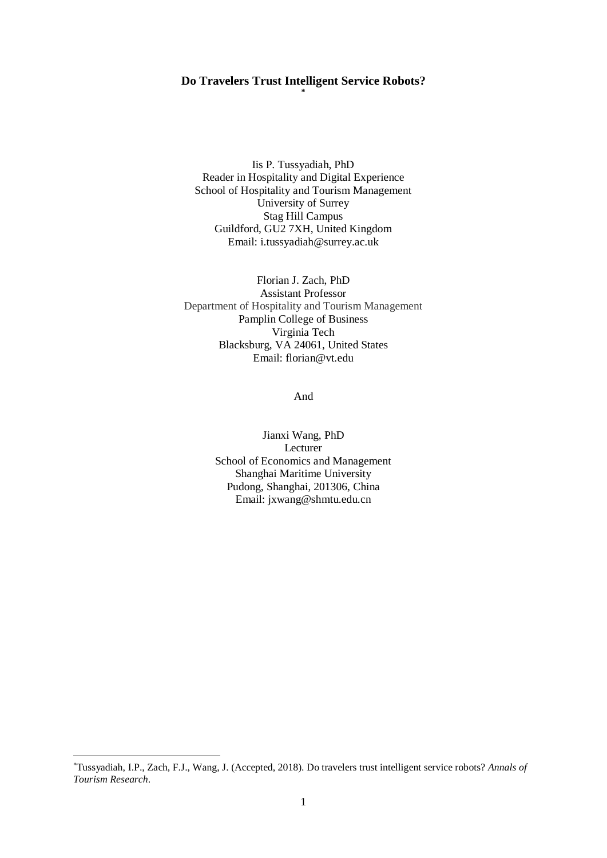#### **Do Travelers Trust Intelligent Service Robots? \***

Iis P. Tussyadiah, PhD Reader in Hospitality and Digital Experience School of Hospitality and Tourism Management University of Surrey Stag Hill Campus Guildford, GU2 7XH, United Kingdom Email: i.tussyadiah@surrey.ac.uk

Florian J. Zach, PhD Assistant Professor Department of Hospitality and Tourism Management Pamplin College of Business Virginia Tech Blacksburg, VA 24061, United States Email: florian@vt.edu

And

Jianxi Wang, PhD Lecturer School of Economics and Management Shanghai Maritime University Pudong, Shanghai, 201306, China Email: jxwang@shmtu.edu.cn

1

<sup>\*</sup>Tussyadiah, I.P., Zach, F.J., Wang, J. (Accepted, 2018). Do travelers trust intelligent service robots? *Annals of Tourism Research*.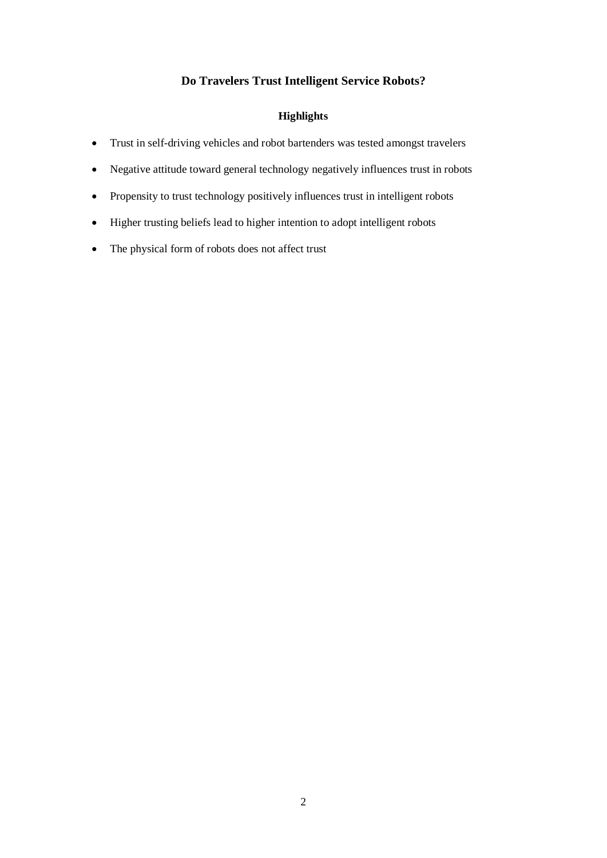# **Do Travelers Trust Intelligent Service Robots?**

# **Highlights**

- Trust in self-driving vehicles and robot bartenders was tested amongst travelers
- Negative attitude toward general technology negatively influences trust in robots
- Propensity to trust technology positively influences trust in intelligent robots
- Higher trusting beliefs lead to higher intention to adopt intelligent robots
- The physical form of robots does not affect trust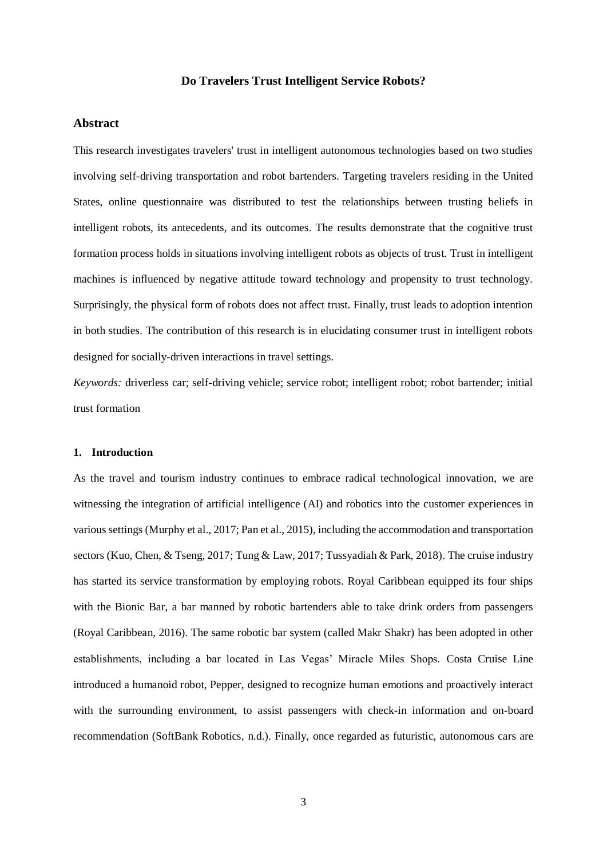## **Do Travelers Trust Intelligent Service Robots?**

# **Abstract**

This research investigates travelers' trust in intelligent autonomous technologies based on two studies involving self-driving transportation and robot bartenders. Targeting travelers residing in the United States, online questionnaire was distributed to test the relationships between trusting beliefs in intelligent robots, its antecedents, and its outcomes. The results demonstrate that the cognitive trust formation process holds in situations involving intelligent robots as objects of trust. Trust in intelligent machines is influenced by negative attitude toward technology and propensity to trust technology. Surprisingly, the physical form of robots does not affect trust. Finally, trust leads to adoption intention in both studies. The contribution of this research is in elucidating consumer trust in intelligent robots designed for socially-driven interactions in travel settings.

*Keywords:* driverless car; self-driving vehicle; service robot; intelligent robot; robot bartender; initial trust formation

### **1. Introduction**

As the travel and tourism industry continues to embrace radical technological innovation, we are witnessing the integration of artificial intelligence (AI) and robotics into the customer experiences in various settings (Murphy et al., 2017; Pan et al., 2015), including the accommodation and transportation sectors (Kuo, Chen, & Tseng, 2017; Tung & Law, 2017; Tussyadiah & Park, 2018). The cruise industry has started its service transformation by employing robots. Royal Caribbean equipped its four ships with the Bionic Bar, a bar manned by robotic bartenders able to take drink orders from passengers (Royal Caribbean, 2016). The same robotic bar system (called Makr Shakr) has been adopted in other establishments, including a bar located in Las Vegas' Miracle Miles Shops. Costa Cruise Line introduced a humanoid robot, Pepper, designed to recognize human emotions and proactively interact with the surrounding environment, to assist passengers with check-in information and on-board recommendation (SoftBank Robotics, n.d.). Finally, once regarded as futuristic, autonomous cars are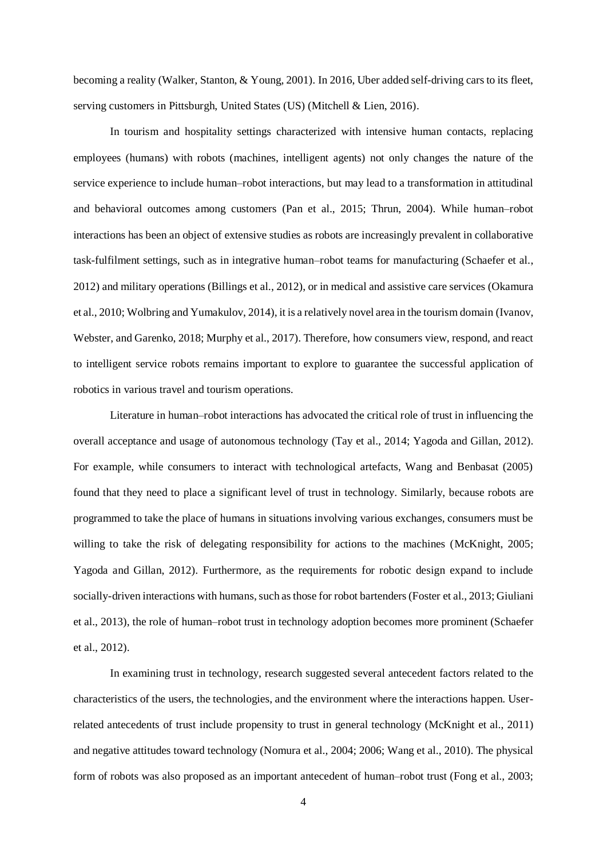becoming a reality (Walker, Stanton, & Young, 2001). In 2016, Uber added self-driving cars to its fleet, serving customers in Pittsburgh, United States (US) (Mitchell & Lien, 2016).

In tourism and hospitality settings characterized with intensive human contacts, replacing employees (humans) with robots (machines, intelligent agents) not only changes the nature of the service experience to include human–robot interactions, but may lead to a transformation in attitudinal and behavioral outcomes among customers (Pan et al., 2015; Thrun, 2004). While human–robot interactions has been an object of extensive studies as robots are increasingly prevalent in collaborative task-fulfilment settings, such as in integrative human–robot teams for manufacturing (Schaefer et al., 2012) and military operations (Billings et al., 2012), or in medical and assistive care services (Okamura et al., 2010; Wolbring and Yumakulov, 2014), it is a relatively novel area in the tourism domain (Ivanov, Webster, and Garenko, 2018; Murphy et al., 2017). Therefore, how consumers view, respond, and react to intelligent service robots remains important to explore to guarantee the successful application of robotics in various travel and tourism operations.

Literature in human–robot interactions has advocated the critical role of trust in influencing the overall acceptance and usage of autonomous technology (Tay et al., 2014; Yagoda and Gillan, 2012). For example, while consumers to interact with technological artefacts, Wang and Benbasat (2005) found that they need to place a significant level of trust in technology. Similarly, because robots are programmed to take the place of humans in situations involving various exchanges, consumers must be willing to take the risk of delegating responsibility for actions to the machines (McKnight, 2005; Yagoda and Gillan, 2012). Furthermore, as the requirements for robotic design expand to include socially-driven interactions with humans, such as those for robot bartenders (Foster et al., 2013; Giuliani et al., 2013), the role of human–robot trust in technology adoption becomes more prominent (Schaefer et al., 2012).

In examining trust in technology, research suggested several antecedent factors related to the characteristics of the users, the technologies, and the environment where the interactions happen. Userrelated antecedents of trust include propensity to trust in general technology (McKnight et al., 2011) and negative attitudes toward technology (Nomura et al., 2004; 2006; Wang et al., 2010). The physical form of robots was also proposed as an important antecedent of human–robot trust (Fong et al., 2003;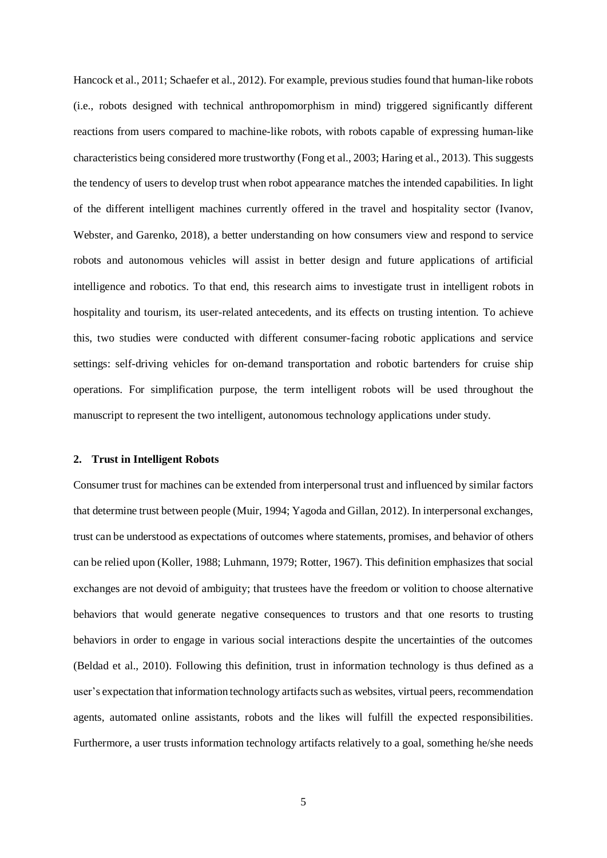Hancock et al., 2011; Schaefer et al., 2012). For example, previous studies found that human-like robots (i.e., robots designed with technical anthropomorphism in mind) triggered significantly different reactions from users compared to machine-like robots, with robots capable of expressing human-like characteristics being considered more trustworthy (Fong et al., 2003; Haring et al., 2013). This suggests the tendency of users to develop trust when robot appearance matches the intended capabilities. In light of the different intelligent machines currently offered in the travel and hospitality sector (Ivanov, Webster, and Garenko, 2018), a better understanding on how consumers view and respond to service robots and autonomous vehicles will assist in better design and future applications of artificial intelligence and robotics. To that end, this research aims to investigate trust in intelligent robots in hospitality and tourism, its user-related antecedents, and its effects on trusting intention. To achieve this, two studies were conducted with different consumer-facing robotic applications and service settings: self-driving vehicles for on-demand transportation and robotic bartenders for cruise ship operations. For simplification purpose, the term intelligent robots will be used throughout the manuscript to represent the two intelligent, autonomous technology applications under study.

#### **2. Trust in Intelligent Robots**

Consumer trust for machines can be extended from interpersonal trust and influenced by similar factors that determine trust between people (Muir, 1994; Yagoda and Gillan, 2012). In interpersonal exchanges, trust can be understood as expectations of outcomes where statements, promises, and behavior of others can be relied upon (Koller, 1988; Luhmann, 1979; Rotter, 1967). This definition emphasizes that social exchanges are not devoid of ambiguity; that trustees have the freedom or volition to choose alternative behaviors that would generate negative consequences to trustors and that one resorts to trusting behaviors in order to engage in various social interactions despite the uncertainties of the outcomes (Beldad et al., 2010). Following this definition, trust in information technology is thus defined as a user's expectation that information technology artifacts such as websites, virtual peers, recommendation agents, automated online assistants, robots and the likes will fulfill the expected responsibilities. Furthermore, a user trusts information technology artifacts relatively to a goal, something he/she needs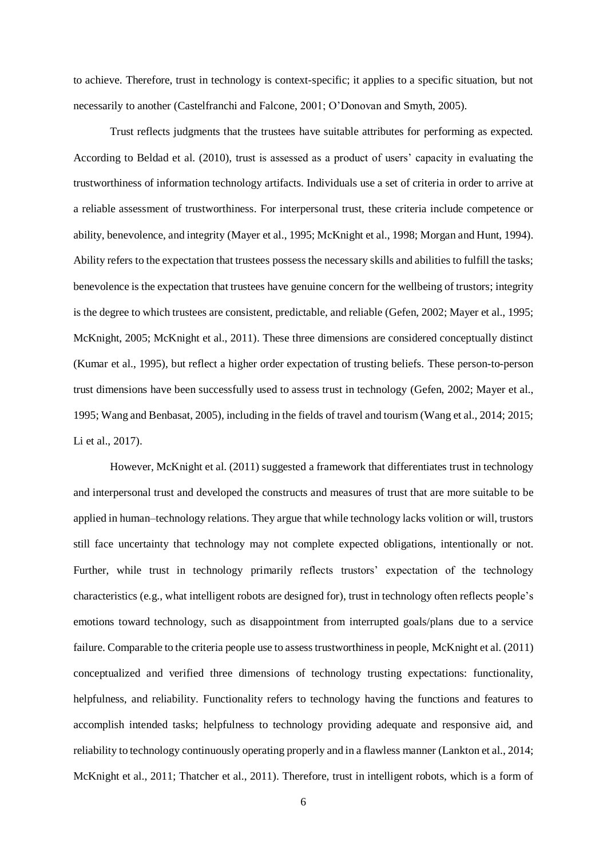to achieve. Therefore, trust in technology is context-specific; it applies to a specific situation, but not necessarily to another (Castelfranchi and Falcone, 2001; O'Donovan and Smyth, 2005).

Trust reflects judgments that the trustees have suitable attributes for performing as expected. According to Beldad et al. (2010), trust is assessed as a product of users' capacity in evaluating the trustworthiness of information technology artifacts. Individuals use a set of criteria in order to arrive at a reliable assessment of trustworthiness. For interpersonal trust, these criteria include competence or ability, benevolence, and integrity (Mayer et al., 1995; McKnight et al., 1998; Morgan and Hunt, 1994). Ability refers to the expectation that trustees possess the necessary skills and abilities to fulfill the tasks; benevolence is the expectation that trustees have genuine concern for the wellbeing of trustors; integrity is the degree to which trustees are consistent, predictable, and reliable (Gefen, 2002; Mayer et al., 1995; McKnight, 2005; McKnight et al., 2011). These three dimensions are considered conceptually distinct (Kumar et al., 1995), but reflect a higher order expectation of trusting beliefs. These person-to-person trust dimensions have been successfully used to assess trust in technology (Gefen, 2002; Mayer et al., 1995; Wang and Benbasat, 2005), including in the fields of travel and tourism (Wang et al., 2014; 2015; Li et al., 2017).

However, McKnight et al. (2011) suggested a framework that differentiates trust in technology and interpersonal trust and developed the constructs and measures of trust that are more suitable to be applied in human–technology relations. They argue that while technology lacks volition or will, trustors still face uncertainty that technology may not complete expected obligations, intentionally or not. Further, while trust in technology primarily reflects trustors' expectation of the technology characteristics (e.g., what intelligent robots are designed for), trust in technology often reflects people's emotions toward technology, such as disappointment from interrupted goals/plans due to a service failure. Comparable to the criteria people use to assess trustworthiness in people, McKnight et al. (2011) conceptualized and verified three dimensions of technology trusting expectations: functionality, helpfulness, and reliability. Functionality refers to technology having the functions and features to accomplish intended tasks; helpfulness to technology providing adequate and responsive aid, and reliability to technology continuously operating properly and in a flawless manner (Lankton et al., 2014; McKnight et al., 2011; Thatcher et al., 2011). Therefore, trust in intelligent robots, which is a form of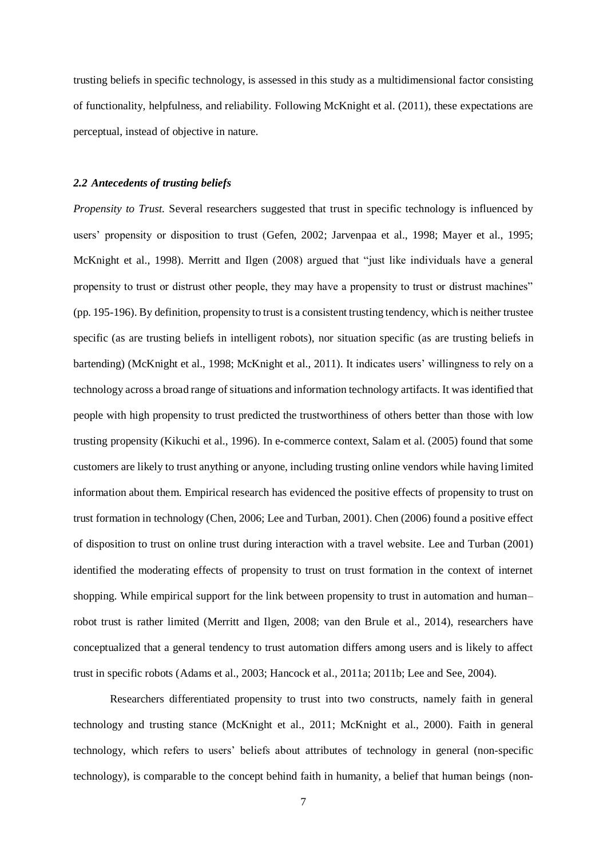trusting beliefs in specific technology, is assessed in this study as a multidimensional factor consisting of functionality, helpfulness, and reliability. Following McKnight et al. (2011), these expectations are perceptual, instead of objective in nature.

## *2.2 Antecedents of trusting beliefs*

*Propensity to Trust.* Several researchers suggested that trust in specific technology is influenced by users' propensity or disposition to trust (Gefen, 2002; Jarvenpaa et al., 1998; Mayer et al., 1995; McKnight et al., 1998). Merritt and Ilgen (2008) argued that "just like individuals have a general propensity to trust or distrust other people, they may have a propensity to trust or distrust machines" (pp. 195-196). By definition, propensity to trust is a consistent trusting tendency, which is neither trustee specific (as are trusting beliefs in intelligent robots), nor situation specific (as are trusting beliefs in bartending) (McKnight et al., 1998; McKnight et al., 2011). It indicates users' willingness to rely on a technology across a broad range of situations and information technology artifacts. It was identified that people with high propensity to trust predicted the trustworthiness of others better than those with low trusting propensity (Kikuchi et al., 1996). In e-commerce context, Salam et al. (2005) found that some customers are likely to trust anything or anyone, including trusting online vendors while having limited information about them. Empirical research has evidenced the positive effects of propensity to trust on trust formation in technology (Chen, 2006; Lee and Turban, 2001). Chen (2006) found a positive effect of disposition to trust on online trust during interaction with a travel website. Lee and Turban (2001) identified the moderating effects of propensity to trust on trust formation in the context of internet shopping. While empirical support for the link between propensity to trust in automation and human– robot trust is rather limited (Merritt and Ilgen, 2008; van den Brule et al., 2014), researchers have conceptualized that a general tendency to trust automation differs among users and is likely to affect trust in specific robots (Adams et al., 2003; Hancock et al., 2011a; 2011b; Lee and See, 2004).

Researchers differentiated propensity to trust into two constructs, namely faith in general technology and trusting stance (McKnight et al., 2011; McKnight et al., 2000). Faith in general technology, which refers to users' beliefs about attributes of technology in general (non-specific technology), is comparable to the concept behind faith in humanity, a belief that human beings (non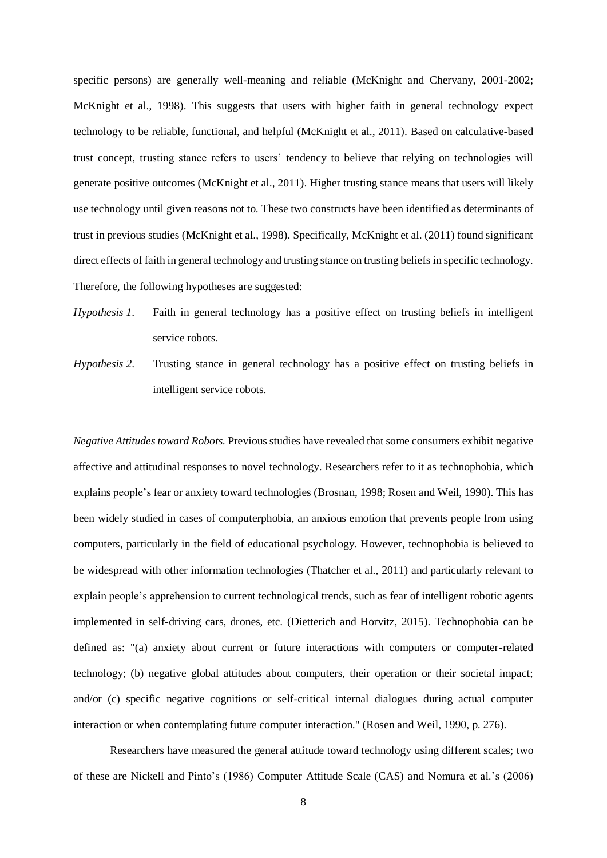specific persons) are generally well-meaning and reliable (McKnight and Chervany, 2001-2002; McKnight et al., 1998). This suggests that users with higher faith in general technology expect technology to be reliable, functional, and helpful (McKnight et al., 2011). Based on calculative-based trust concept, trusting stance refers to users' tendency to believe that relying on technologies will generate positive outcomes (McKnight et al., 2011). Higher trusting stance means that users will likely use technology until given reasons not to. These two constructs have been identified as determinants of trust in previous studies (McKnight et al., 1998). Specifically, McKnight et al. (2011) found significant direct effects of faith in general technology and trusting stance on trusting beliefs in specific technology. Therefore, the following hypotheses are suggested:

- *Hypothesis 1*. Faith in general technology has a positive effect on trusting beliefs in intelligent service robots.
- *Hypothesis 2*. Trusting stance in general technology has a positive effect on trusting beliefs in intelligent service robots.

*Negative Attitudes toward Robots.* Previous studies have revealed that some consumers exhibit negative affective and attitudinal responses to novel technology. Researchers refer to it as technophobia, which explains people's fear or anxiety toward technologies (Brosnan, 1998; Rosen and Weil, 1990). This has been widely studied in cases of computerphobia, an anxious emotion that prevents people from using computers, particularly in the field of educational psychology. However, technophobia is believed to be widespread with other information technologies (Thatcher et al., 2011) and particularly relevant to explain people's apprehension to current technological trends, such as fear of intelligent robotic agents implemented in self-driving cars, drones, etc. (Dietterich and Horvitz, 2015). Technophobia can be defined as: "(a) anxiety about current or future interactions with computers or computer-related technology; (b) negative global attitudes about computers, their operation or their societal impact; and/or (c) specific negative cognitions or self-critical internal dialogues during actual computer interaction or when contemplating future computer interaction." (Rosen and Weil, 1990, p. 276).

Researchers have measured the general attitude toward technology using different scales; two of these are Nickell and Pinto's (1986) Computer Attitude Scale (CAS) and Nomura et al.'s (2006)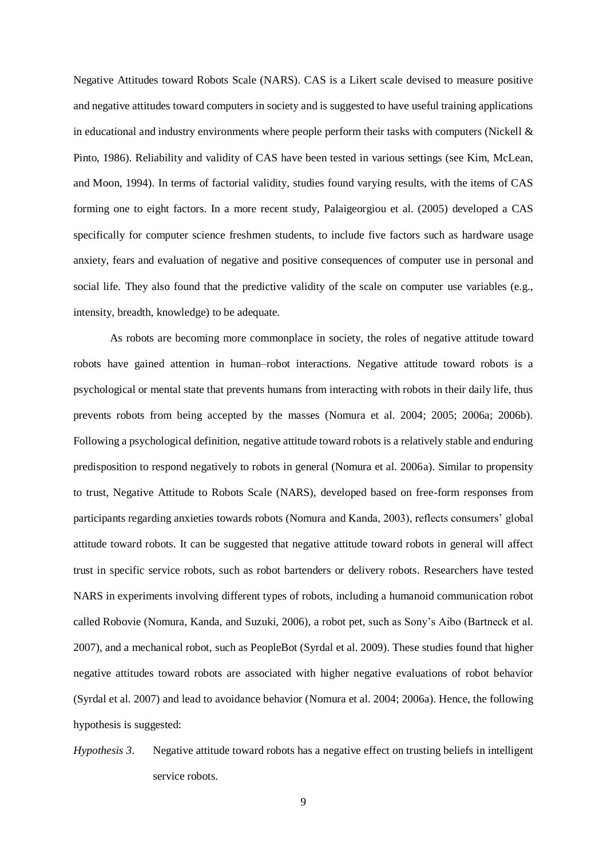Negative Attitudes toward Robots Scale (NARS). CAS is a Likert scale devised to measure positive and negative attitudes toward computers in society and is suggested to have useful training applications in educational and industry environments where people perform their tasks with computers (Nickell  $\&$ Pinto, 1986). Reliability and validity of CAS have been tested in various settings (see Kim, McLean, and Moon, 1994). In terms of factorial validity, studies found varying results, with the items of CAS forming one to eight factors. In a more recent study, Palaigeorgiou et al. (2005) developed a CAS specifically for computer science freshmen students, to include five factors such as hardware usage anxiety, fears and evaluation of negative and positive consequences of computer use in personal and social life. They also found that the predictive validity of the scale on computer use variables (e.g., intensity, breadth, knowledge) to be adequate.

As robots are becoming more commonplace in society, the roles of negative attitude toward robots have gained attention in human–robot interactions. Negative attitude toward robots is a psychological or mental state that prevents humans from interacting with robots in their daily life, thus prevents robots from being accepted by the masses (Nomura et al. 2004; 2005; 2006a; 2006b). Following a psychological definition, negative attitude toward robots is a relatively stable and enduring predisposition to respond negatively to robots in general (Nomura et al. 2006a). Similar to propensity to trust, Negative Attitude to Robots Scale (NARS), developed based on free-form responses from participants regarding anxieties towards robots (Nomura and Kanda, 2003), reflects consumers' global attitude toward robots. It can be suggested that negative attitude toward robots in general will affect trust in specific service robots, such as robot bartenders or delivery robots. Researchers have tested NARS in experiments involving different types of robots, including a humanoid communication robot called Robovie (Nomura, Kanda, and Suzuki, 2006), a robot pet, such as Sony's Aibo (Bartneck et al. 2007), and a mechanical robot, such as PeopleBot (Syrdal et al. 2009). These studies found that higher negative attitudes toward robots are associated with higher negative evaluations of robot behavior (Syrdal et al. 2007) and lead to avoidance behavior (Nomura et al. 2004; 2006a). Hence, the following hypothesis is suggested:

*Hypothesis 3*. Negative attitude toward robots has a negative effect on trusting beliefs in intelligent service robots.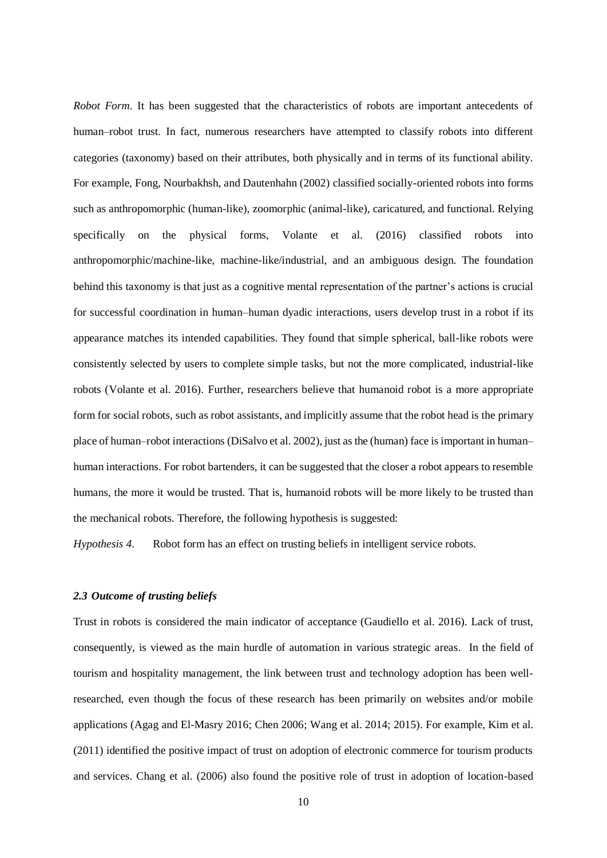*Robot Form*. It has been suggested that the characteristics of robots are important antecedents of human–robot trust. In fact, numerous researchers have attempted to classify robots into different categories (taxonomy) based on their attributes, both physically and in terms of its functional ability. For example, Fong, Nourbakhsh, and Dautenhahn (2002) classified socially-oriented robots into forms such as anthropomorphic (human-like), zoomorphic (animal-like), caricatured, and functional. Relying specifically on the physical forms, Volante et al. (2016) classified robots into anthropomorphic/machine-like, machine-like/industrial, and an ambiguous design. The foundation behind this taxonomy is that just as a cognitive mental representation of the partner's actions is crucial for successful coordination in human–human dyadic interactions, users develop trust in a robot if its appearance matches its intended capabilities. They found that simple spherical, ball-like robots were consistently selected by users to complete simple tasks, but not the more complicated, industrial-like robots (Volante et al. 2016). Further, researchers believe that humanoid robot is a more appropriate form for social robots, such as robot assistants, and implicitly assume that the robot head is the primary place of human–robot interactions (DiSalvo et al. 2002), just as the (human) face is important in human– human interactions. For robot bartenders, it can be suggested that the closer a robot appears to resemble humans, the more it would be trusted. That is, humanoid robots will be more likely to be trusted than the mechanical robots. Therefore, the following hypothesis is suggested:

*Hypothesis 4*. Robot form has an effect on trusting beliefs in intelligent service robots.

# *2.3 Outcome of trusting beliefs*

Trust in robots is considered the main indicator of acceptance (Gaudiello et al. 2016). Lack of trust, consequently, is viewed as the main hurdle of automation in various strategic areas. In the field of tourism and hospitality management, the link between trust and technology adoption has been wellresearched, even though the focus of these research has been primarily on websites and/or mobile applications (Agag and El-Masry 2016; Chen 2006; Wang et al. 2014; 2015). For example, Kim et al. (2011) identified the positive impact of trust on adoption of electronic commerce for tourism products and services. Chang et al. (2006) also found the positive role of trust in adoption of location-based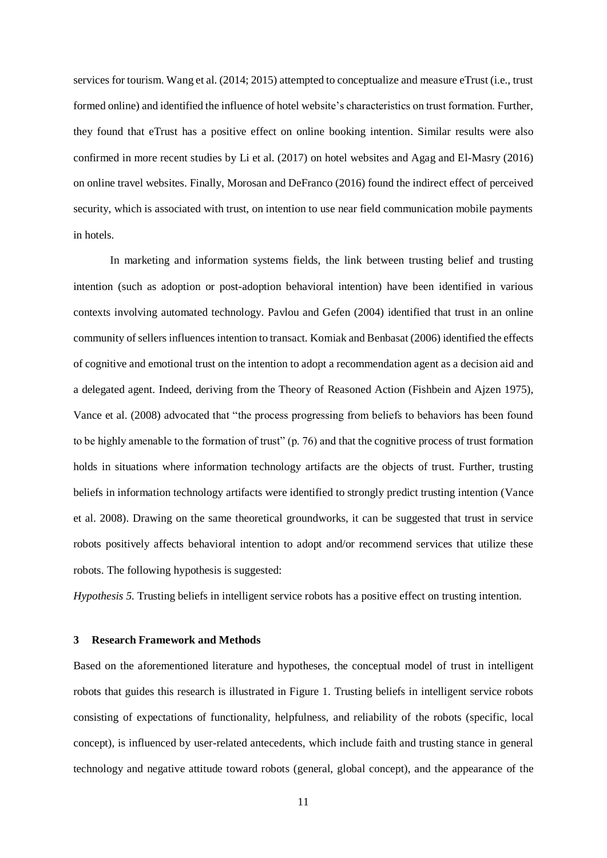services for tourism. Wang et al. (2014; 2015) attempted to conceptualize and measure eTrust (i.e., trust formed online) and identified the influence of hotel website's characteristics on trust formation. Further, they found that eTrust has a positive effect on online booking intention. Similar results were also confirmed in more recent studies by Li et al. (2017) on hotel websites and Agag and El-Masry (2016) on online travel websites. Finally, Morosan and DeFranco (2016) found the indirect effect of perceived security, which is associated with trust, on intention to use near field communication mobile payments in hotels.

In marketing and information systems fields, the link between trusting belief and trusting intention (such as adoption or post-adoption behavioral intention) have been identified in various contexts involving automated technology. Pavlou and Gefen (2004) identified that trust in an online community of sellers influences intention to transact. Komiak and Benbasat (2006) identified the effects of cognitive and emotional trust on the intention to adopt a recommendation agent as a decision aid and a delegated agent. Indeed, deriving from the Theory of Reasoned Action (Fishbein and Ajzen 1975), Vance et al. (2008) advocated that "the process progressing from beliefs to behaviors has been found to be highly amenable to the formation of trust" (p. 76) and that the cognitive process of trust formation holds in situations where information technology artifacts are the objects of trust. Further, trusting beliefs in information technology artifacts were identified to strongly predict trusting intention (Vance et al. 2008). Drawing on the same theoretical groundworks, it can be suggested that trust in service robots positively affects behavioral intention to adopt and/or recommend services that utilize these robots. The following hypothesis is suggested:

*Hypothesis 5.* Trusting beliefs in intelligent service robots has a positive effect on trusting intention.

#### **3 Research Framework and Methods**

Based on the aforementioned literature and hypotheses, the conceptual model of trust in intelligent robots that guides this research is illustrated in Figure 1. Trusting beliefs in intelligent service robots consisting of expectations of functionality, helpfulness, and reliability of the robots (specific, local concept), is influenced by user-related antecedents, which include faith and trusting stance in general technology and negative attitude toward robots (general, global concept), and the appearance of the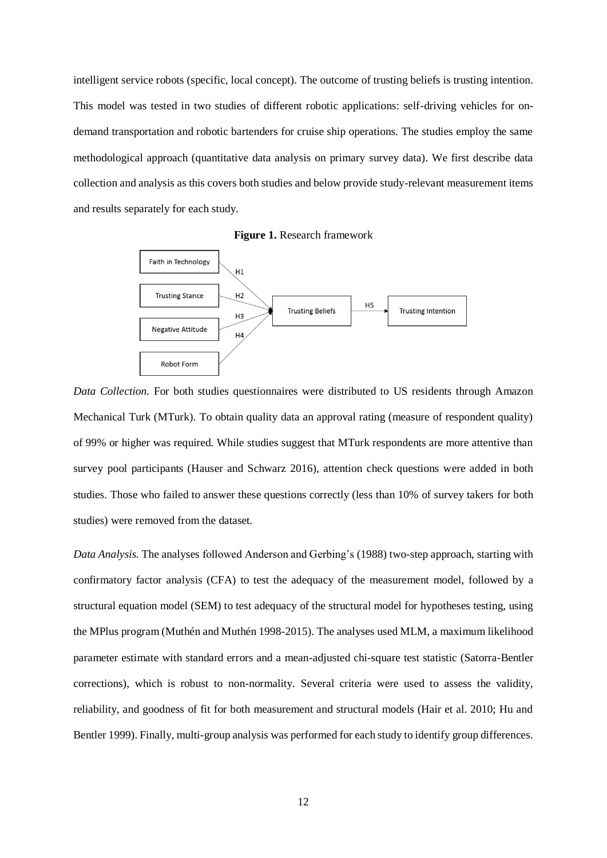intelligent service robots (specific, local concept). The outcome of trusting beliefs is trusting intention. This model was tested in two studies of different robotic applications: self-driving vehicles for ondemand transportation and robotic bartenders for cruise ship operations. The studies employ the same methodological approach (quantitative data analysis on primary survey data). We first describe data collection and analysis as this covers both studies and below provide study-relevant measurement items and results separately for each study.

**Figure 1.** Research framework



*Data Collection.* For both studies questionnaires were distributed to US residents through Amazon Mechanical Turk (MTurk). To obtain quality data an approval rating (measure of respondent quality) of 99% or higher was required. While studies suggest that MTurk respondents are more attentive than survey pool participants (Hauser and Schwarz 2016), attention check questions were added in both studies. Those who failed to answer these questions correctly (less than 10% of survey takers for both studies) were removed from the dataset.

*Data Analysis.* The analyses followed Anderson and Gerbing's (1988) two-step approach, starting with confirmatory factor analysis (CFA) to test the adequacy of the measurement model, followed by a structural equation model (SEM) to test adequacy of the structural model for hypotheses testing, using the MPlus program (Muthén and Muthén 1998-2015). The analyses used MLM, a maximum likelihood parameter estimate with standard errors and a mean-adjusted chi-square test statistic (Satorra-Bentler corrections), which is robust to non-normality. Several criteria were used to assess the validity, reliability, and goodness of fit for both measurement and structural models (Hair et al. 2010; Hu and Bentler 1999). Finally, multi-group analysis was performed for each study to identify group differences.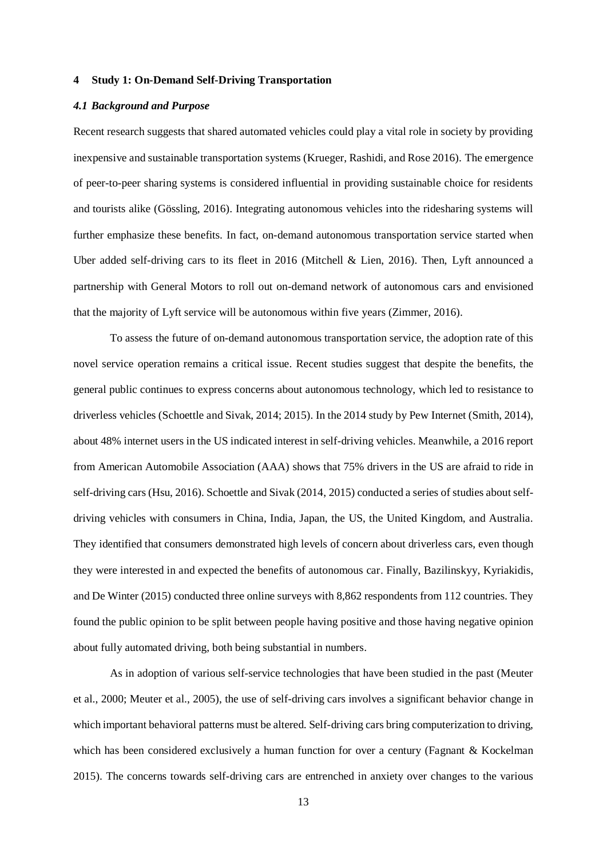#### **4 Study 1: On-Demand Self-Driving Transportation**

#### *4.1 Background and Purpose*

Recent research suggests that shared automated vehicles could play a vital role in society by providing inexpensive and sustainable transportation systems (Krueger, Rashidi, and Rose 2016). The emergence of peer-to-peer sharing systems is considered influential in providing sustainable choice for residents and tourists alike (Gössling, 2016). Integrating autonomous vehicles into the ridesharing systems will further emphasize these benefits. In fact, on-demand autonomous transportation service started when Uber added self-driving cars to its fleet in 2016 (Mitchell & Lien, 2016). Then, Lyft announced a partnership with General Motors to roll out on-demand network of autonomous cars and envisioned that the majority of Lyft service will be autonomous within five years (Zimmer, 2016).

To assess the future of on-demand autonomous transportation service, the adoption rate of this novel service operation remains a critical issue. Recent studies suggest that despite the benefits, the general public continues to express concerns about autonomous technology, which led to resistance to driverless vehicles (Schoettle and Sivak, 2014; 2015). In the 2014 study by Pew Internet (Smith, 2014), about 48% internet users in the US indicated interest in self-driving vehicles. Meanwhile, a 2016 report from American Automobile Association (AAA) shows that 75% drivers in the US are afraid to ride in self-driving cars (Hsu, 2016). Schoettle and Sivak (2014, 2015) conducted a series of studies about selfdriving vehicles with consumers in China, India, Japan, the US, the United Kingdom, and Australia. They identified that consumers demonstrated high levels of concern about driverless cars, even though they were interested in and expected the benefits of autonomous car. Finally, Bazilinskyy, Kyriakidis, and De Winter (2015) conducted three online surveys with 8,862 respondents from 112 countries. They found the public opinion to be split between people having positive and those having negative opinion about fully automated driving, both being substantial in numbers.

As in adoption of various self-service technologies that have been studied in the past (Meuter et al., 2000; Meuter et al., 2005), the use of self-driving cars involves a significant behavior change in which important behavioral patterns must be altered. Self-driving cars bring computerization to driving, which has been considered exclusively a human function for over a century (Fagnant & Kockelman 2015). The concerns towards self-driving cars are entrenched in anxiety over changes to the various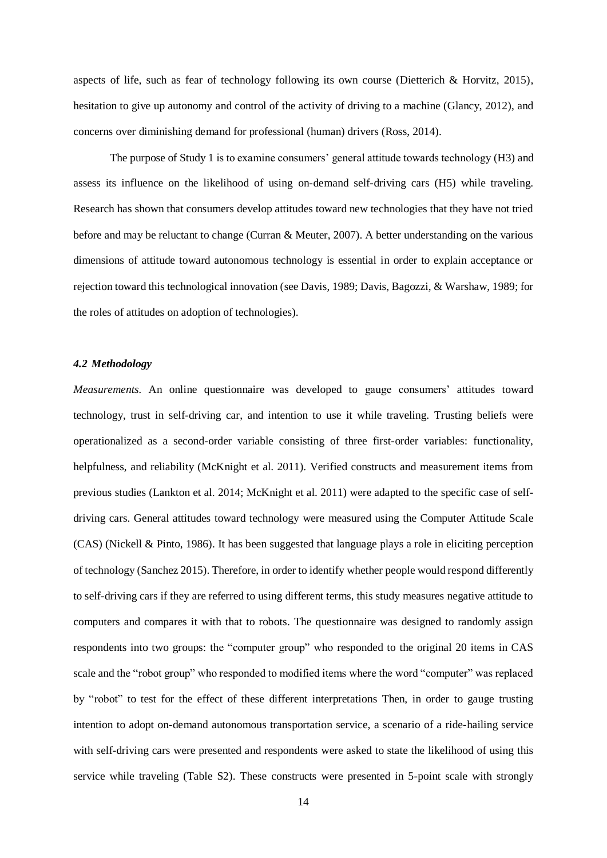aspects of life, such as fear of technology following its own course (Dietterich  $\&$  Horvitz, 2015), hesitation to give up autonomy and control of the activity of driving to a machine (Glancy, 2012), and concerns over diminishing demand for professional (human) drivers (Ross, 2014).

The purpose of Study 1 is to examine consumers' general attitude towards technology (H3) and assess its influence on the likelihood of using on-demand self-driving cars (H5) while traveling. Research has shown that consumers develop attitudes toward new technologies that they have not tried before and may be reluctant to change (Curran & Meuter, 2007). A better understanding on the various dimensions of attitude toward autonomous technology is essential in order to explain acceptance or rejection toward this technological innovation (see Davis, 1989; Davis, Bagozzi, & Warshaw, 1989; for the roles of attitudes on adoption of technologies).

#### *4.2 Methodology*

*Measurements.* An online questionnaire was developed to gauge consumers' attitudes toward technology, trust in self-driving car, and intention to use it while traveling. Trusting beliefs were operationalized as a second-order variable consisting of three first-order variables: functionality, helpfulness, and reliability (McKnight et al. 2011). Verified constructs and measurement items from previous studies (Lankton et al. 2014; McKnight et al. 2011) were adapted to the specific case of selfdriving cars. General attitudes toward technology were measured using the Computer Attitude Scale (CAS) (Nickell & Pinto, 1986). It has been suggested that language plays a role in eliciting perception of technology (Sanchez 2015). Therefore, in order to identify whether people would respond differently to self-driving cars if they are referred to using different terms, this study measures negative attitude to computers and compares it with that to robots. The questionnaire was designed to randomly assign respondents into two groups: the "computer group" who responded to the original 20 items in CAS scale and the "robot group" who responded to modified items where the word "computer" was replaced by "robot" to test for the effect of these different interpretations Then, in order to gauge trusting intention to adopt on-demand autonomous transportation service, a scenario of a ride-hailing service with self-driving cars were presented and respondents were asked to state the likelihood of using this service while traveling (Table S2). These constructs were presented in 5-point scale with strongly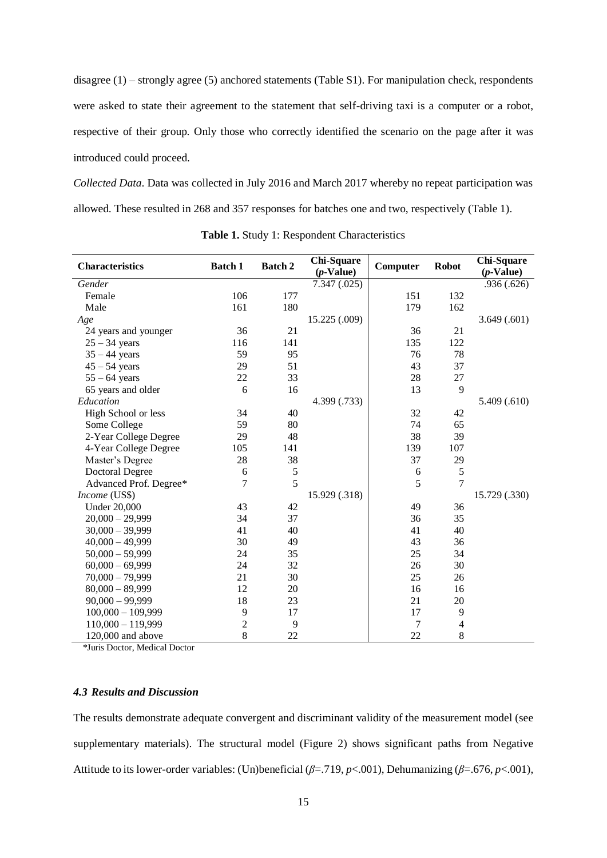disagree (1) – strongly agree (5) anchored statements (Table S1). For manipulation check, respondents were asked to state their agreement to the statement that self-driving taxi is a computer or a robot, respective of their group. Only those who correctly identified the scenario on the page after it was introduced could proceed.

*Collected Data*. Data was collected in July 2016 and March 2017 whereby no repeat participation was allowed. These resulted in 268 and 357 responses for batches one and two, respectively (Table 1).

| <b>Characteristics</b> | <b>Batch 1</b> | <b>Batch 2</b> | Chi-Square<br>$(p$ -Value) | Computer | <b>Robot</b>             | Chi-Square<br>$(p$ -Value) |
|------------------------|----------------|----------------|----------------------------|----------|--------------------------|----------------------------|
| Gender                 |                |                | 7.347(0.025)               |          |                          | .936(.626)                 |
| Female                 | 106            | 177            |                            | 151      | 132                      |                            |
| Male                   | 161            | 180            |                            | 179      | 162                      |                            |
| Age                    |                |                | 15.225 (.009)              |          |                          | 3.649(.601)                |
| 24 years and younger   | 36             | 21             |                            | 36       | 21                       |                            |
| $25 - 34$ years        | 116            | 141            |                            | 135      | 122                      |                            |
| $35 - 44$ years        | 59             | 95             |                            | 76       | 78                       |                            |
| $45 - 54$ years        | 29             | 51             |                            | 43       | 37                       |                            |
| $55 - 64$ years        | 22             | 33             |                            | 28       | 27                       |                            |
| 65 years and older     | 6              | 16             |                            | 13       | 9                        |                            |
| Education              |                |                | 4.399 (.733)               |          |                          | 5.409(.610)                |
| High School or less    | 34             | 40             |                            | 32       | 42                       |                            |
| Some College           | 59             | 80             |                            | 74       | 65                       |                            |
| 2-Year College Degree  | 29             | 48             |                            | 38       | 39                       |                            |
| 4-Year College Degree  | 105            | 141            |                            | 139      | 107                      |                            |
| Master's Degree        | 28             | 38             |                            | 37       | 29                       |                            |
| <b>Doctoral Degree</b> | 6              | 5              |                            | 6        | 5                        |                            |
| Advanced Prof. Degree* | 7              | 5              |                            | 5        | 7                        |                            |
| Income (US\$)          |                |                | 15.929 (.318)              |          |                          | 15.729 (.330)              |
| <b>Under 20,000</b>    | 43             | 42             |                            | 49       | 36                       |                            |
| $20,000 - 29,999$      | 34             | 37             |                            | 36       | 35                       |                            |
| $30,000 - 39,999$      | 41             | 40             |                            | 41       | 40                       |                            |
| $40,000 - 49,999$      | 30             | 49             |                            | 43       | 36                       |                            |
| $50,000 - 59,999$      | 24             | 35             |                            | 25       | 34                       |                            |
| $60,000 - 69,999$      | 24             | 32             |                            | 26       | 30                       |                            |
| $70,000 - 79,999$      | 21             | 30             |                            | 25       | 26                       |                            |
| $80,000 - 89,999$      | 12             | 20             |                            | 16       | 16                       |                            |
| $90,000 - 99,999$      | 18             | 23             |                            | 21       | 20                       |                            |
| $100,000 - 109,999$    | 9              | 17             |                            | 17       | 9                        |                            |
| $110,000 - 119,999$    | $\overline{c}$ | 9              |                            | 7        | $\overline{\mathcal{A}}$ |                            |
| 120,000 and above      | 8              | 22             |                            | 22       | 8                        |                            |

**Table 1.** Study 1: Respondent Characteristics

*\**Juris Doctor, Medical Doctor

# *4.3 Results and Discussion*

The results demonstrate adequate convergent and discriminant validity of the measurement model (see supplementary materials). The structural model (Figure 2) shows significant paths from Negative Attitude to its lower-order variables: (Un)beneficial (*β*=.719, *p*<.001), Dehumanizing (*β*=.676, *p*<.001),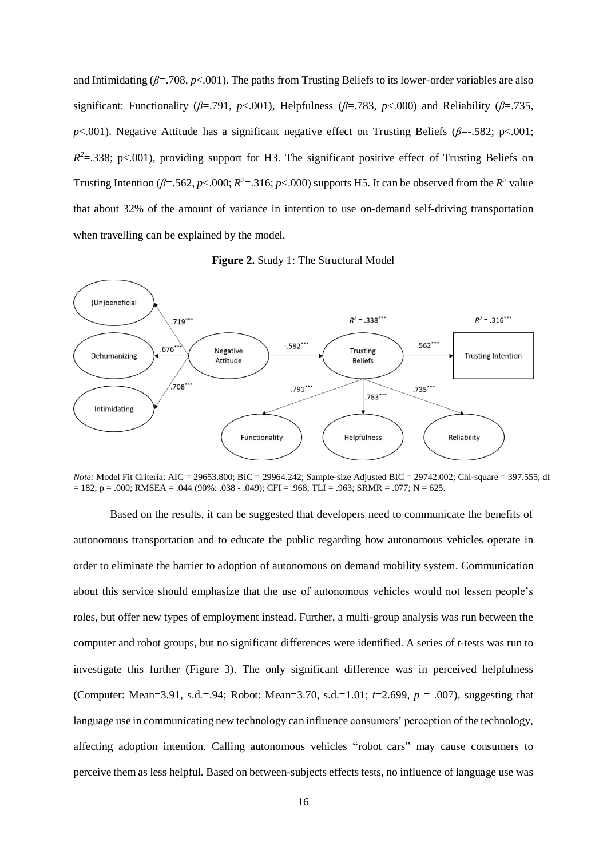and Intimidating (*β*=.708, *p*<.001). The paths from Trusting Beliefs to its lower-order variables are also significant: Functionality ( $\beta$ =.791,  $p$ <.001), Helpfulness ( $\beta$ =.783,  $p$ <.000) and Reliability ( $\beta$ =.735, *p*<.001). Negative Attitude has a significant negative effect on Trusting Beliefs (*β*=-.582; p<.001;  $R^2 = 0.338$ ; p<.001), providing support for H3. The significant positive effect of Trusting Beliefs on Trusting Intention ( $\beta$ =.562,  $p$ <.000;  $R$ <sup>2</sup>=.316;  $p$ <.000) supports H5. It can be observed from the  $R$ <sup>2</sup> value that about 32% of the amount of variance in intention to use on-demand self-driving transportation when travelling can be explained by the model.

**Figure 2.** Study 1: The Structural Model



*Note:* Model Fit Criteria: AIC = 29653.800; BIC = 29964.242; Sample-size Adjusted BIC = 29742.002; Chi-square = 397.555; df  $= 182$ ; p = .000; RMSEA = .044 (90%: .038 - .049); CFI = .968; TLI = .963; SRMR = .077; N = 625.

Based on the results, it can be suggested that developers need to communicate the benefits of autonomous transportation and to educate the public regarding how autonomous vehicles operate in order to eliminate the barrier to adoption of autonomous on demand mobility system. Communication about this service should emphasize that the use of autonomous vehicles would not lessen people's roles, but offer new types of employment instead. Further, a multi-group analysis was run between the computer and robot groups, but no significant differences were identified. A series of *t*-tests was run to investigate this further (Figure 3). The only significant difference was in perceived helpfulness (Computer: Mean=3.91, s.d.=.94; Robot: Mean=3.70, s.d.=1.01; *t*=2.699, *p* = .007), suggesting that language use in communicating new technology can influence consumers' perception of the technology, affecting adoption intention. Calling autonomous vehicles "robot cars" may cause consumers to perceive them as less helpful. Based on between-subjects effects tests, no influence of language use was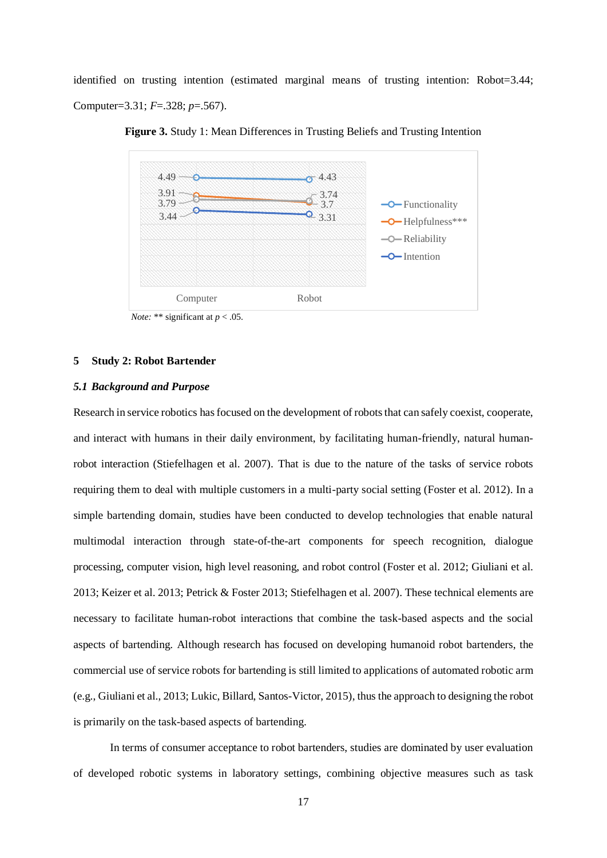identified on trusting intention (estimated marginal means of trusting intention: Robot=3.44; Computer=3.31; *F*=.328; *p*=.567).



**Figure 3.** Study 1: Mean Differences in Trusting Beliefs and Trusting Intention

*Note:* \*\* significant at  $p < .05$ .

#### **5 Study 2: Robot Bartender**

# *5.1 Background and Purpose*

Research in service robotics has focused on the development of robots that can safely coexist, cooperate, and interact with humans in their daily environment, by facilitating human-friendly, natural humanrobot interaction (Stiefelhagen et al. 2007). That is due to the nature of the tasks of service robots requiring them to deal with multiple customers in a multi-party social setting (Foster et al. 2012). In a simple bartending domain, studies have been conducted to develop technologies that enable natural multimodal interaction through state-of-the-art components for speech recognition, dialogue processing, computer vision, high level reasoning, and robot control (Foster et al. 2012; Giuliani et al. 2013; Keizer et al. 2013; Petrick & Foster 2013; Stiefelhagen et al. 2007). These technical elements are necessary to facilitate human-robot interactions that combine the task-based aspects and the social aspects of bartending. Although research has focused on developing humanoid robot bartenders, the commercial use of service robots for bartending is still limited to applications of automated robotic arm (e.g., Giuliani et al., 2013; Lukic, Billard, Santos-Victor, 2015), thus the approach to designing the robot is primarily on the task-based aspects of bartending.

In terms of consumer acceptance to robot bartenders, studies are dominated by user evaluation of developed robotic systems in laboratory settings, combining objective measures such as task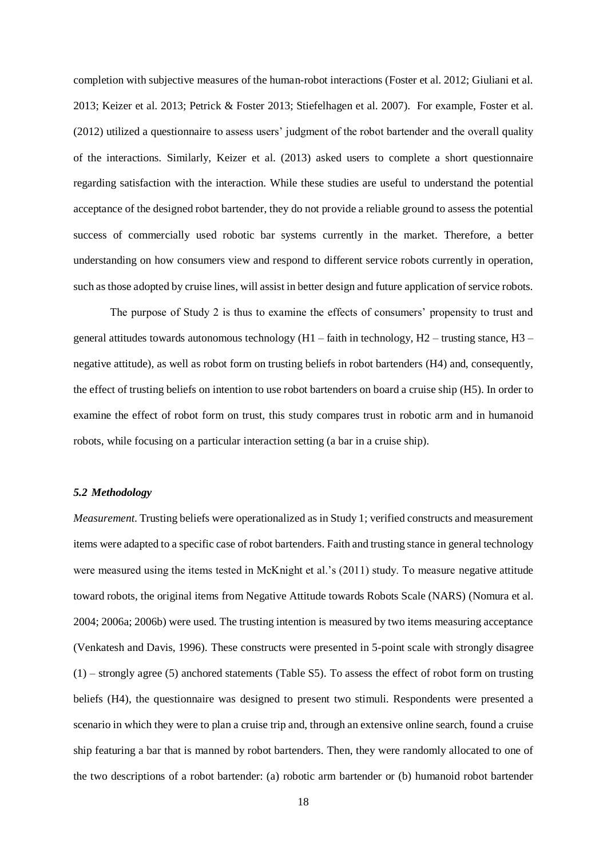completion with subjective measures of the human-robot interactions (Foster et al. 2012; Giuliani et al. 2013; Keizer et al. 2013; Petrick & Foster 2013; Stiefelhagen et al. 2007). For example, Foster et al. (2012) utilized a questionnaire to assess users' judgment of the robot bartender and the overall quality of the interactions. Similarly, Keizer et al. (2013) asked users to complete a short questionnaire regarding satisfaction with the interaction. While these studies are useful to understand the potential acceptance of the designed robot bartender, they do not provide a reliable ground to assess the potential success of commercially used robotic bar systems currently in the market. Therefore, a better understanding on how consumers view and respond to different service robots currently in operation, such as those adopted by cruise lines, will assist in better design and future application of service robots.

The purpose of Study 2 is thus to examine the effects of consumers' propensity to trust and general attitudes towards autonomous technology (H1 – faith in technology, H2 – trusting stance, H3 – negative attitude), as well as robot form on trusting beliefs in robot bartenders (H4) and, consequently, the effect of trusting beliefs on intention to use robot bartenders on board a cruise ship (H5). In order to examine the effect of robot form on trust, this study compares trust in robotic arm and in humanoid robots, while focusing on a particular interaction setting (a bar in a cruise ship).

#### *5.2 Methodology*

*Measurement*. Trusting beliefs were operationalized as in Study 1; verified constructs and measurement items were adapted to a specific case of robot bartenders. Faith and trusting stance in general technology were measured using the items tested in McKnight et al.'s (2011) study. To measure negative attitude toward robots, the original items from Negative Attitude towards Robots Scale (NARS) (Nomura et al. 2004; 2006a; 2006b) were used. The trusting intention is measured by two items measuring acceptance (Venkatesh and Davis, 1996). These constructs were presented in 5-point scale with strongly disagree (1) – strongly agree (5) anchored statements (Table S5). To assess the effect of robot form on trusting beliefs (H4), the questionnaire was designed to present two stimuli. Respondents were presented a scenario in which they were to plan a cruise trip and, through an extensive online search, found a cruise ship featuring a bar that is manned by robot bartenders. Then, they were randomly allocated to one of the two descriptions of a robot bartender: (a) robotic arm bartender or (b) humanoid robot bartender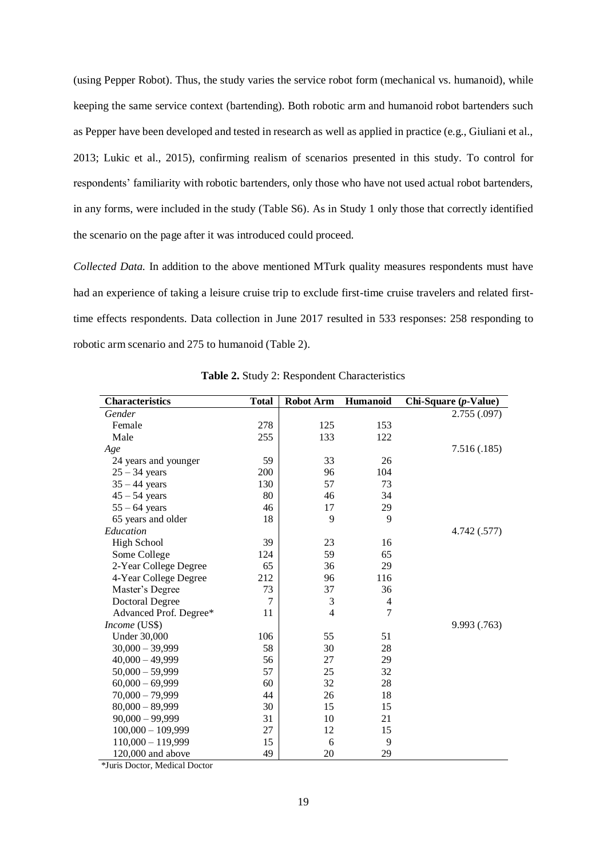(using Pepper Robot). Thus, the study varies the service robot form (mechanical vs. humanoid), while keeping the same service context (bartending). Both robotic arm and humanoid robot bartenders such as Pepper have been developed and tested in research as well as applied in practice (e.g., Giuliani et al., 2013; Lukic et al., 2015), confirming realism of scenarios presented in this study. To control for respondents' familiarity with robotic bartenders, only those who have not used actual robot bartenders, in any forms, were included in the study (Table S6). As in Study 1 only those that correctly identified the scenario on the page after it was introduced could proceed.

*Collected Data.* In addition to the above mentioned MTurk quality measures respondents must have had an experience of taking a leisure cruise trip to exclude first-time cruise travelers and related firsttime effects respondents. Data collection in June 2017 resulted in 533 responses: 258 responding to robotic arm scenario and 275 to humanoid (Table 2).

| <b>Characteristics</b> | <b>Total</b>   | <b>Robot Arm</b> | Humanoid | Chi-Square (p-Value) |
|------------------------|----------------|------------------|----------|----------------------|
| Gender                 |                |                  |          | 2.755(.097)          |
| Female                 | 278            | 125              | 153      |                      |
| Male                   | 255            | 133              | 122      |                      |
| Age                    |                |                  |          | 7.516(.185)          |
| 24 years and younger   | 59             | 33               | 26       |                      |
| $25 - 34$ years        | 200            | 96               | 104      |                      |
| $35 - 44$ years        | 130            | 57               | 73       |                      |
| $45 - 54$ years        | 80             | 46               | 34       |                      |
| $55 - 64$ years        | 46             | 17               | 29       |                      |
| 65 years and older     | 18             | 9                | 9        |                      |
| Education              |                |                  |          | 4.742 (.577)         |
| <b>High School</b>     | 39             | 23               | 16       |                      |
| Some College           | 124            | 59               | 65       |                      |
| 2-Year College Degree  | 65             | 36               | 29       |                      |
| 4-Year College Degree  | 212            | 96               | 116      |                      |
| Master's Degree        | 73             | 37               | 36       |                      |
| <b>Doctoral Degree</b> | $\overline{7}$ | 3                | 4        |                      |
| Advanced Prof. Degree* | 11             | $\overline{4}$   | 7        |                      |
| Income (US\$)          |                |                  |          | 9.993 (.763)         |
| <b>Under 30,000</b>    | 106            | 55               | 51       |                      |
| $30,000 - 39,999$      | 58             | 30               | 28       |                      |
| $40,000 - 49,999$      | 56             | 27               | 29       |                      |
| $50,000 - 59,999$      | 57             | 25               | 32       |                      |
| $60,000 - 69,999$      | 60             | 32               | 28       |                      |
| $70,000 - 79,999$      | 44             | 26               | 18       |                      |
| $80,000 - 89,999$      | 30             | 15               | 15       |                      |
| $90,000 - 99,999$      | 31             | 10               | 21       |                      |
| $100,000 - 109,999$    | 27             | 12               | 15       |                      |
| $110,000 - 119,999$    | 15             | 6                | 9        |                      |
| $120,000$ and above    | 49             | 20               | 29       |                      |

**Table 2.** Study 2: Respondent Characteristics

*\**Juris Doctor, Medical Doctor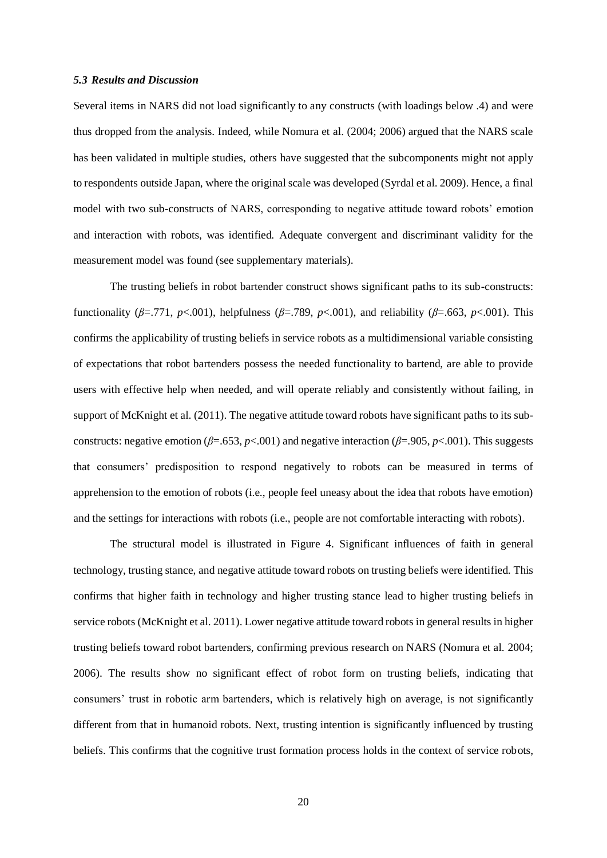#### *5.3 Results and Discussion*

Several items in NARS did not load significantly to any constructs (with loadings below .4) and were thus dropped from the analysis. Indeed, while Nomura et al. (2004; 2006) argued that the NARS scale has been validated in multiple studies, others have suggested that the subcomponents might not apply to respondents outside Japan, where the original scale was developed (Syrdal et al. 2009). Hence, a final model with two sub-constructs of NARS, corresponding to negative attitude toward robots' emotion and interaction with robots, was identified. Adequate convergent and discriminant validity for the measurement model was found (see supplementary materials).

The trusting beliefs in robot bartender construct shows significant paths to its sub-constructs: functionality ( $\beta$ =.771,  $p$ <.001), helpfulness ( $\beta$ =.789,  $p$ <.001), and reliability ( $\beta$ =.663,  $p$ <.001). This confirms the applicability of trusting beliefs in service robots as a multidimensional variable consisting of expectations that robot bartenders possess the needed functionality to bartend, are able to provide users with effective help when needed, and will operate reliably and consistently without failing, in support of McKnight et al. (2011). The negative attitude toward robots have significant paths to its subconstructs: negative emotion ( $\beta$ =.653, *p*<.001) and negative interaction ( $\beta$ =.905, *p*<.001). This suggests that consumers' predisposition to respond negatively to robots can be measured in terms of apprehension to the emotion of robots (i.e., people feel uneasy about the idea that robots have emotion) and the settings for interactions with robots (i.e., people are not comfortable interacting with robots).

The structural model is illustrated in Figure 4. Significant influences of faith in general technology, trusting stance, and negative attitude toward robots on trusting beliefs were identified. This confirms that higher faith in technology and higher trusting stance lead to higher trusting beliefs in service robots (McKnight et al. 2011). Lower negative attitude toward robots in general results in higher trusting beliefs toward robot bartenders, confirming previous research on NARS (Nomura et al. 2004; 2006). The results show no significant effect of robot form on trusting beliefs, indicating that consumers' trust in robotic arm bartenders, which is relatively high on average, is not significantly different from that in humanoid robots. Next, trusting intention is significantly influenced by trusting beliefs. This confirms that the cognitive trust formation process holds in the context of service robots,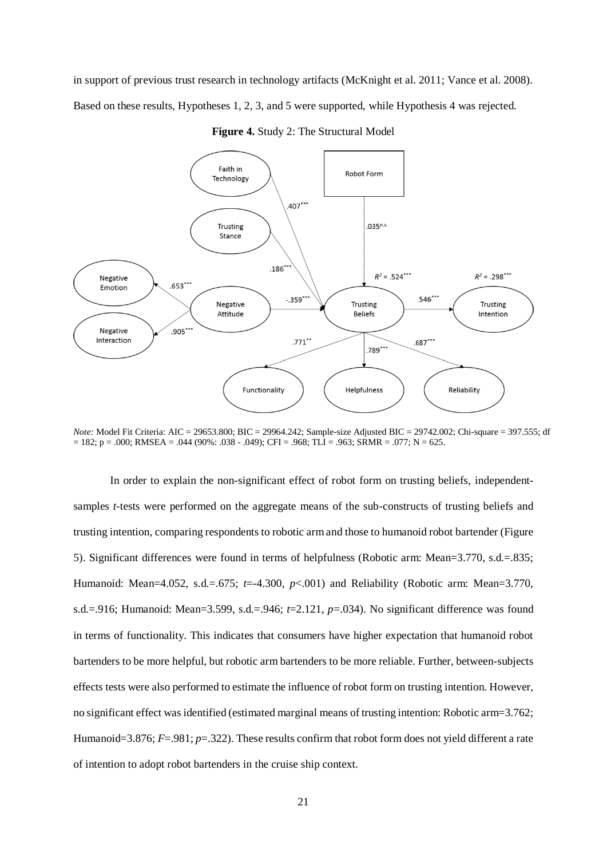in support of previous trust research in technology artifacts (McKnight et al. 2011; Vance et al. 2008). Based on these results, Hypotheses 1, 2, 3, and 5 were supported, while Hypothesis 4 was rejected.



**Figure 4.** Study 2: The Structural Model

*Note:* Model Fit Criteria: AIC = 29653.800; BIC = 29964.242; Sample-size Adjusted BIC = 29742.002; Chi-square = 397.555; df  $= 182$ ; p = .000; RMSEA = .044 (90%: .038 - .049); CFI = .968; TLI = .963; SRMR = .077; N = 625.

In order to explain the non-significant effect of robot form on trusting beliefs, independentsamples *t*-tests were performed on the aggregate means of the sub-constructs of trusting beliefs and trusting intention, comparing respondents to robotic arm and those to humanoid robot bartender (Figure 5). Significant differences were found in terms of helpfulness (Robotic arm: Mean=3.770, s.d.=.835; Humanoid: Mean=4.052, s.d.=.675; *t*=-4.300, *p*<.001) and Reliability (Robotic arm: Mean=3.770, s.d.=.916; Humanoid: Mean=3.599, s.d.=.946; *t*=2.121, *p*=.034). No significant difference was found in terms of functionality. This indicates that consumers have higher expectation that humanoid robot bartenders to be more helpful, but robotic arm bartenders to be more reliable. Further, between-subjects effects tests were also performed to estimate the influence of robot form on trusting intention. However, no significant effect was identified (estimated marginal means of trusting intention: Robotic arm=3.762; Humanoid=3.876; *F*=.981; *p*=.322). These results confirm that robot form does not yield different a rate of intention to adopt robot bartenders in the cruise ship context.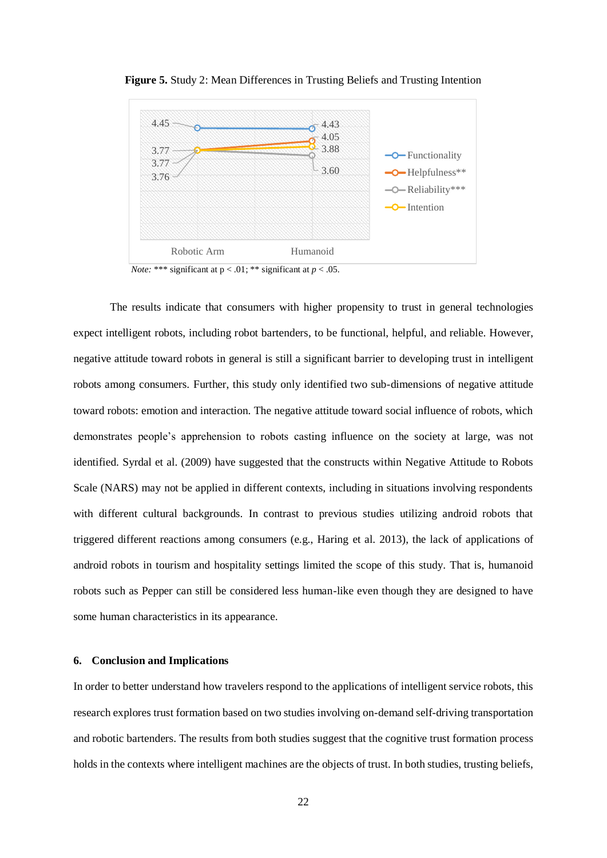

**Figure 5.** Study 2: Mean Differences in Trusting Beliefs and Trusting Intention

*Note:* \*\*\* significant at  $p < .01$ ; \*\* significant at  $p < .05$ .

The results indicate that consumers with higher propensity to trust in general technologies expect intelligent robots, including robot bartenders, to be functional, helpful, and reliable. However, negative attitude toward robots in general is still a significant barrier to developing trust in intelligent robots among consumers. Further, this study only identified two sub-dimensions of negative attitude toward robots: emotion and interaction. The negative attitude toward social influence of robots, which demonstrates people's apprehension to robots casting influence on the society at large, was not identified. Syrdal et al. (2009) have suggested that the constructs within Negative Attitude to Robots Scale (NARS) may not be applied in different contexts, including in situations involving respondents with different cultural backgrounds. In contrast to previous studies utilizing android robots that triggered different reactions among consumers (e.g., Haring et al. 2013), the lack of applications of android robots in tourism and hospitality settings limited the scope of this study. That is, humanoid robots such as Pepper can still be considered less human-like even though they are designed to have some human characteristics in its appearance.

#### **6. Conclusion and Implications**

In order to better understand how travelers respond to the applications of intelligent service robots, this research explores trust formation based on two studies involving on-demand self-driving transportation and robotic bartenders. The results from both studies suggest that the cognitive trust formation process holds in the contexts where intelligent machines are the objects of trust. In both studies, trusting beliefs,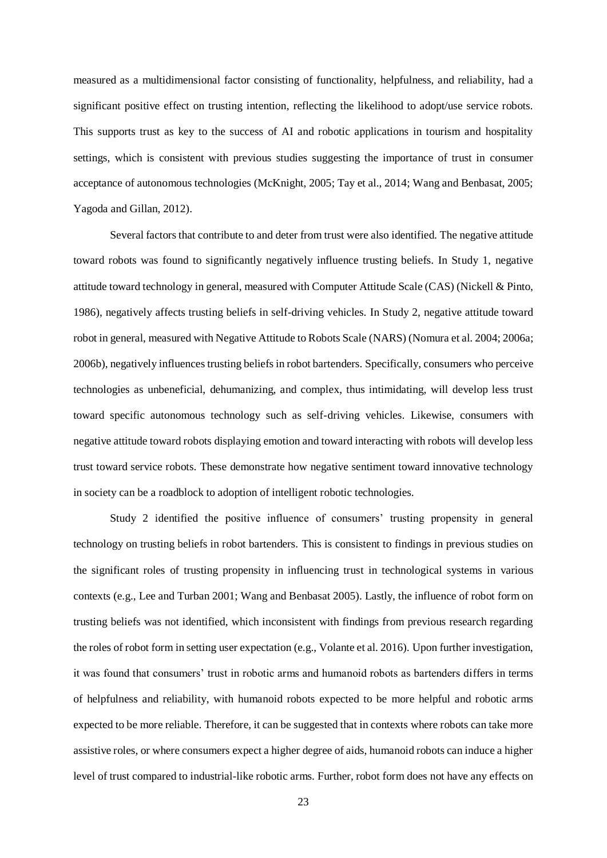measured as a multidimensional factor consisting of functionality, helpfulness, and reliability, had a significant positive effect on trusting intention, reflecting the likelihood to adopt/use service robots. This supports trust as key to the success of AI and robotic applications in tourism and hospitality settings, which is consistent with previous studies suggesting the importance of trust in consumer acceptance of autonomous technologies (McKnight, 2005; Tay et al., 2014; Wang and Benbasat, 2005; Yagoda and Gillan, 2012).

Several factors that contribute to and deter from trust were also identified. The negative attitude toward robots was found to significantly negatively influence trusting beliefs. In Study 1, negative attitude toward technology in general, measured with Computer Attitude Scale (CAS) (Nickell & Pinto, 1986), negatively affects trusting beliefs in self-driving vehicles. In Study 2, negative attitude toward robot in general, measured with Negative Attitude to Robots Scale (NARS) (Nomura et al. 2004; 2006a; 2006b), negatively influences trusting beliefs in robot bartenders. Specifically, consumers who perceive technologies as unbeneficial, dehumanizing, and complex, thus intimidating, will develop less trust toward specific autonomous technology such as self-driving vehicles. Likewise, consumers with negative attitude toward robots displaying emotion and toward interacting with robots will develop less trust toward service robots. These demonstrate how negative sentiment toward innovative technology in society can be a roadblock to adoption of intelligent robotic technologies.

Study 2 identified the positive influence of consumers' trusting propensity in general technology on trusting beliefs in robot bartenders. This is consistent to findings in previous studies on the significant roles of trusting propensity in influencing trust in technological systems in various contexts (e.g., Lee and Turban 2001; Wang and Benbasat 2005). Lastly, the influence of robot form on trusting beliefs was not identified, which inconsistent with findings from previous research regarding the roles of robot form in setting user expectation (e.g., Volante et al. 2016). Upon further investigation, it was found that consumers' trust in robotic arms and humanoid robots as bartenders differs in terms of helpfulness and reliability, with humanoid robots expected to be more helpful and robotic arms expected to be more reliable. Therefore, it can be suggested that in contexts where robots can take more assistive roles, or where consumers expect a higher degree of aids, humanoid robots can induce a higher level of trust compared to industrial-like robotic arms. Further, robot form does not have any effects on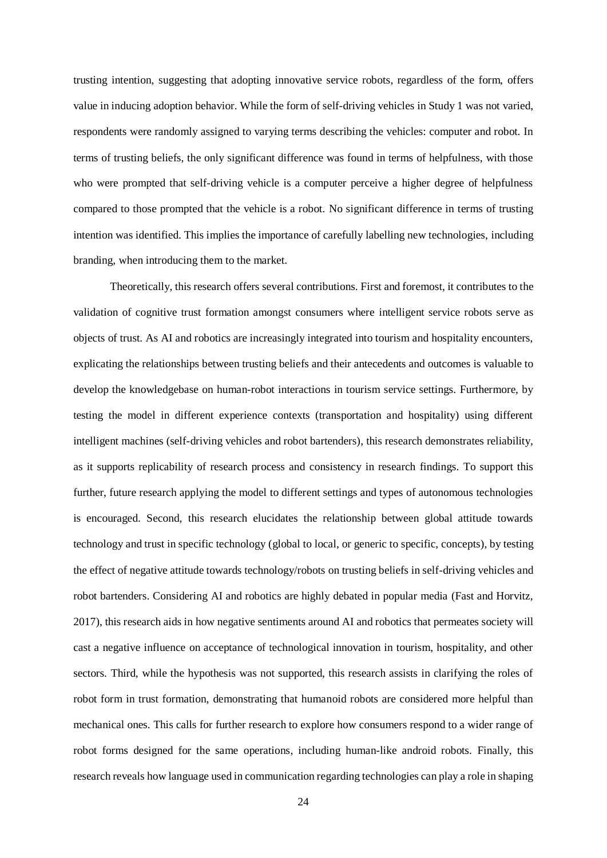trusting intention, suggesting that adopting innovative service robots, regardless of the form, offers value in inducing adoption behavior. While the form of self-driving vehicles in Study 1 was not varied, respondents were randomly assigned to varying terms describing the vehicles: computer and robot. In terms of trusting beliefs, the only significant difference was found in terms of helpfulness, with those who were prompted that self-driving vehicle is a computer perceive a higher degree of helpfulness compared to those prompted that the vehicle is a robot. No significant difference in terms of trusting intention was identified. This implies the importance of carefully labelling new technologies, including branding, when introducing them to the market.

Theoretically, this research offers several contributions. First and foremost, it contributes to the validation of cognitive trust formation amongst consumers where intelligent service robots serve as objects of trust. As AI and robotics are increasingly integrated into tourism and hospitality encounters, explicating the relationships between trusting beliefs and their antecedents and outcomes is valuable to develop the knowledgebase on human-robot interactions in tourism service settings. Furthermore, by testing the model in different experience contexts (transportation and hospitality) using different intelligent machines (self-driving vehicles and robot bartenders), this research demonstrates reliability, as it supports replicability of research process and consistency in research findings. To support this further, future research applying the model to different settings and types of autonomous technologies is encouraged. Second, this research elucidates the relationship between global attitude towards technology and trust in specific technology (global to local, or generic to specific, concepts), by testing the effect of negative attitude towards technology/robots on trusting beliefs in self-driving vehicles and robot bartenders. Considering AI and robotics are highly debated in popular media (Fast and Horvitz, 2017), this research aids in how negative sentiments around AI and robotics that permeates society will cast a negative influence on acceptance of technological innovation in tourism, hospitality, and other sectors. Third, while the hypothesis was not supported, this research assists in clarifying the roles of robot form in trust formation, demonstrating that humanoid robots are considered more helpful than mechanical ones. This calls for further research to explore how consumers respond to a wider range of robot forms designed for the same operations, including human-like android robots. Finally, this research reveals how language used in communication regarding technologies can play a role in shaping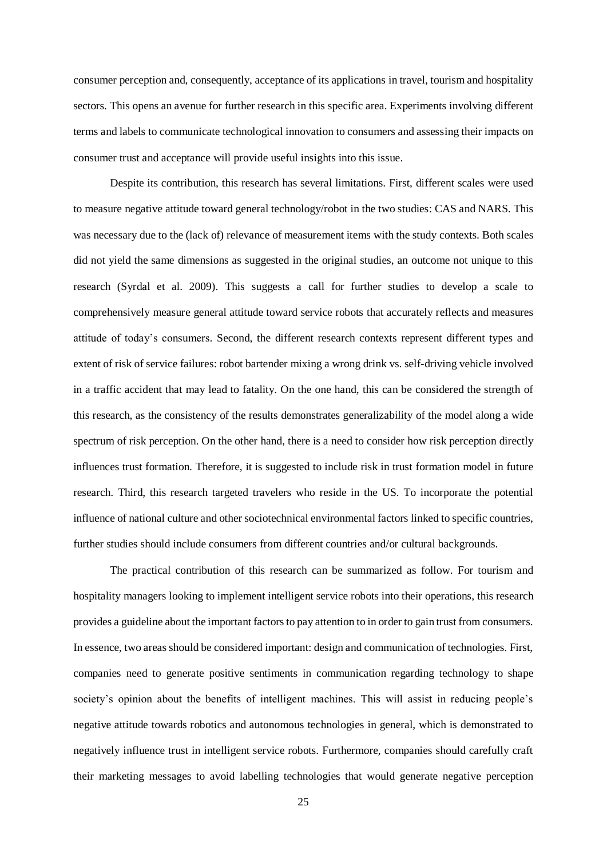consumer perception and, consequently, acceptance of its applications in travel, tourism and hospitality sectors. This opens an avenue for further research in this specific area. Experiments involving different terms and labels to communicate technological innovation to consumers and assessing their impacts on consumer trust and acceptance will provide useful insights into this issue.

Despite its contribution, this research has several limitations. First, different scales were used to measure negative attitude toward general technology/robot in the two studies: CAS and NARS. This was necessary due to the (lack of) relevance of measurement items with the study contexts. Both scales did not yield the same dimensions as suggested in the original studies, an outcome not unique to this research (Syrdal et al. 2009). This suggests a call for further studies to develop a scale to comprehensively measure general attitude toward service robots that accurately reflects and measures attitude of today's consumers. Second, the different research contexts represent different types and extent of risk of service failures: robot bartender mixing a wrong drink vs. self-driving vehicle involved in a traffic accident that may lead to fatality. On the one hand, this can be considered the strength of this research, as the consistency of the results demonstrates generalizability of the model along a wide spectrum of risk perception. On the other hand, there is a need to consider how risk perception directly influences trust formation. Therefore, it is suggested to include risk in trust formation model in future research. Third, this research targeted travelers who reside in the US. To incorporate the potential influence of national culture and other sociotechnical environmental factors linked to specific countries, further studies should include consumers from different countries and/or cultural backgrounds.

The practical contribution of this research can be summarized as follow. For tourism and hospitality managers looking to implement intelligent service robots into their operations, this research provides a guideline about the important factors to pay attention to in order to gain trust from consumers. In essence, two areas should be considered important: design and communication of technologies. First, companies need to generate positive sentiments in communication regarding technology to shape society's opinion about the benefits of intelligent machines. This will assist in reducing people's negative attitude towards robotics and autonomous technologies in general, which is demonstrated to negatively influence trust in intelligent service robots. Furthermore, companies should carefully craft their marketing messages to avoid labelling technologies that would generate negative perception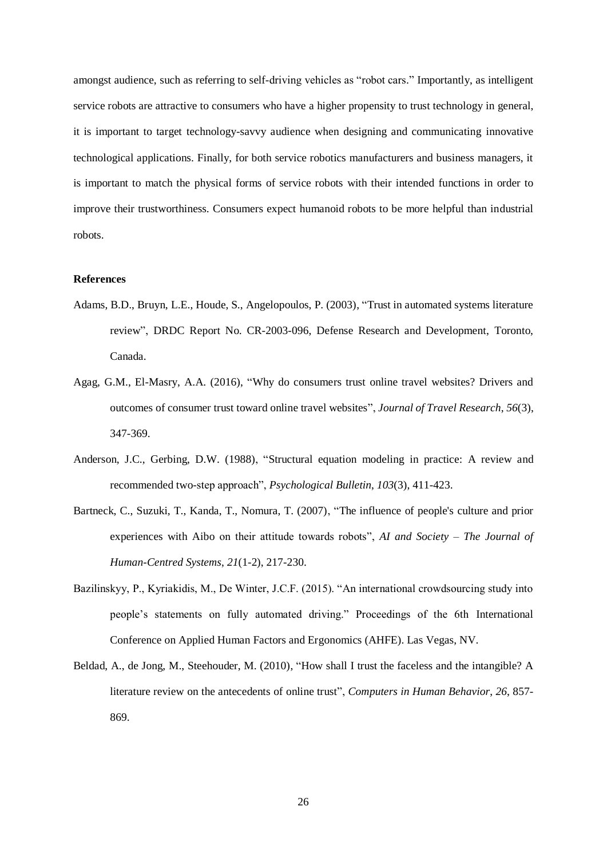amongst audience, such as referring to self-driving vehicles as "robot cars." Importantly, as intelligent service robots are attractive to consumers who have a higher propensity to trust technology in general, it is important to target technology-savvy audience when designing and communicating innovative technological applications. Finally, for both service robotics manufacturers and business managers, it is important to match the physical forms of service robots with their intended functions in order to improve their trustworthiness. Consumers expect humanoid robots to be more helpful than industrial robots.

### **References**

- Adams, B.D., Bruyn, L.E., Houde, S., Angelopoulos, P. (2003), "Trust in automated systems literature review", DRDC Report No. CR-2003-096, Defense Research and Development, Toronto, Canada.
- Agag, G.M., El-Masry, A.A. (2016), "Why do consumers trust online travel websites? Drivers and outcomes of consumer trust toward online travel websites", *Journal of Travel Research*, *56*(3), 347-369.
- Anderson, J.C., Gerbing, D.W. (1988), "Structural equation modeling in practice: A review and recommended two-step approach", *Psychological Bulletin*, *103*(3), 411-423.
- Bartneck, C., Suzuki, T., Kanda, T., Nomura, T. (2007), "The influence of people's culture and prior experiences with Aibo on their attitude towards robots", *AI and Society – The Journal of Human-Centred Systems*, *21*(1-2), 217-230.
- Bazilinskyy, P., Kyriakidis, M., De Winter, J.C.F. (2015). "An international crowdsourcing study into people's statements on fully automated driving." Proceedings of the 6th International Conference on Applied Human Factors and Ergonomics (AHFE). Las Vegas, NV.
- Beldad, A., de Jong, M., Steehouder, M. (2010), "How shall I trust the faceless and the intangible? A literature review on the antecedents of online trust", *Computers in Human Behavior*, *26*, 857- 869.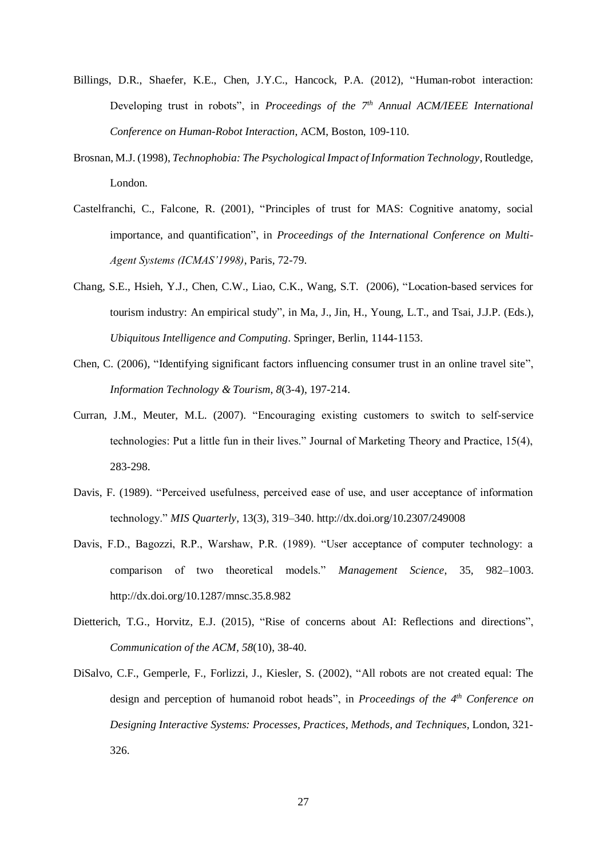- Billings, D.R., Shaefer, K.E., Chen, J.Y.C., Hancock, P.A. (2012), "Human-robot interaction: Developing trust in robots", in *Proceedings of the 7th Annual ACM/IEEE International Conference on Human-Robot Interaction*, ACM, Boston, 109-110.
- Brosnan, M.J. (1998), *Technophobia: The Psychological Impact of Information Technology*, Routledge, London.
- Castelfranchi, C., Falcone, R. (2001), "Principles of trust for MAS: Cognitive anatomy, social importance, and quantification", in *Proceedings of the International Conference on Multi-Agent Systems (ICMAS'1998)*, Paris, 72-79.
- Chang, S.E., Hsieh, Y.J., Chen, C.W., Liao, C.K., Wang, S.T. (2006), "Location-based services for tourism industry: An empirical study", in Ma, J., Jin, H., Young, L.T., and Tsai, J.J.P. (Eds.), *Ubiquitous Intelligence and Computing*. Springer, Berlin, 1144-1153.
- Chen, C. (2006), "Identifying significant factors influencing consumer trust in an online travel site", *Information Technology & Tourism*, *8*(3-4), 197-214.
- Curran, J.M., Meuter, M.L. (2007). "Encouraging existing customers to switch to self-service technologies: Put a little fun in their lives." Journal of Marketing Theory and Practice, 15(4), 283-298.
- Davis, F. (1989). "Perceived usefulness, perceived ease of use, and user acceptance of information technology." *MIS Quarterly*, 13(3), 319–340. http://dx.doi.org/10.2307/249008
- Davis, F.D., Bagozzi, R.P., Warshaw, P.R. (1989). "User acceptance of computer technology: a comparison of two theoretical models." *Management Science*, 35, 982–1003. http://dx.doi.org/10.1287/mnsc.35.8.982
- Dietterich, T.G., Horvitz, E.J. (2015), "Rise of concerns about AI: Reflections and directions", *Communication of the ACM, 58*(10), 38-40.
- DiSalvo, C.F., Gemperle, F., Forlizzi, J., Kiesler, S. (2002), "All robots are not created equal: The design and perception of humanoid robot heads", in *Proceedings of the 4th Conference on Designing Interactive Systems: Processes, Practices, Methods, and Techniques,* London, 321- 326.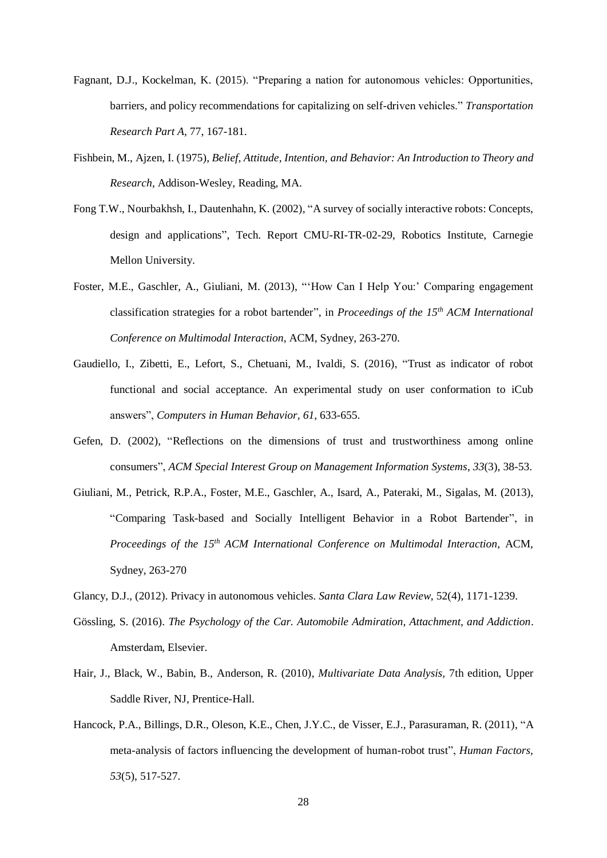- Fagnant, D.J., Kockelman, K. (2015). "Preparing a nation for autonomous vehicles: Opportunities, barriers, and policy recommendations for capitalizing on self-driven vehicles." *Transportation Research Part A*, 77, 167-181.
- Fishbein, M., Ajzen, I. (1975), *Belief, Attitude, Intention, and Behavior: An Introduction to Theory and Research,* Addison-Wesley, Reading, MA.
- Fong T.W., Nourbakhsh, I., Dautenhahn, K. (2002), "A survey of socially interactive robots: Concepts, design and applications", Tech. Report CMU-RI-TR-02-29, Robotics Institute, Carnegie Mellon University.
- Foster, M.E., Gaschler, A., Giuliani, M. (2013), "'How Can I Help You:' Comparing engagement classification strategies for a robot bartender", in *Proceedings of the 15th ACM International Conference on Multimodal Interaction*, ACM, Sydney, 263-270.
- Gaudiello, I., Zibetti, E., Lefort, S., Chetuani, M., Ivaldi, S. (2016), "Trust as indicator of robot functional and social acceptance. An experimental study on user conformation to iCub answers", *Computers in Human Behavior*, *61*, 633-655.
- Gefen, D. (2002), "Reflections on the dimensions of trust and trustworthiness among online consumers", *ACM Special Interest Group on Management Information Systems*, *33*(3), 38-53.
- Giuliani, M., Petrick, R.P.A., Foster, M.E., Gaschler, A., Isard, A., Pateraki, M., Sigalas, M. (2013), "Comparing Task-based and Socially Intelligent Behavior in a Robot Bartender", in *Proceedings of the 15th ACM International Conference on Multimodal Interaction*, ACM, Sydney, 263-270
- Glancy, D.J., (2012). Privacy in autonomous vehicles. *Santa Clara Law Review*, 52(4), 1171-1239.
- Gössling, S. (2016). *The Psychology of the Car. Automobile Admiration, Attachment, and Addiction*. Amsterdam, Elsevier.
- Hair, J., Black, W., Babin, B., Anderson, R. (2010), *Multivariate Data Analysis,* 7th edition, Upper Saddle River, NJ, Prentice-Hall.
- Hancock, P.A., Billings, D.R., Oleson, K.E., Chen, J.Y.C., de Visser, E.J., Parasuraman, R. (2011), "A meta-analysis of factors influencing the development of human-robot trust", *Human Factors*, *53*(5), 517-527.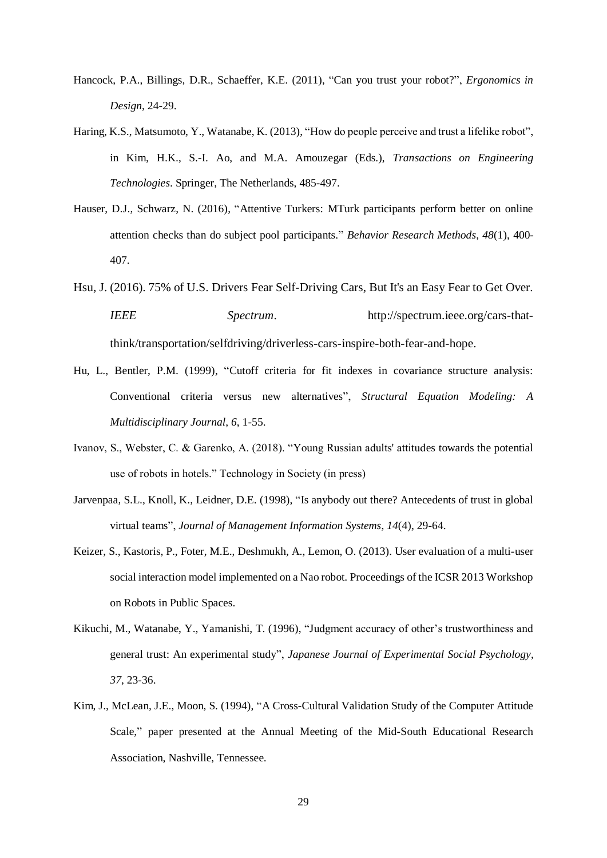- Hancock, P.A., Billings, D.R., Schaeffer, K.E. (2011), "Can you trust your robot?", *Ergonomics in Design*, 24-29.
- Haring, K.S., Matsumoto, Y., Watanabe, K. (2013), "How do people perceive and trust a lifelike robot", in Kim, H.K., S.-I. Ao, and M.A. Amouzegar (Eds.), *Transactions on Engineering Technologies*. Springer, The Netherlands, 485-497.
- Hauser, D.J., Schwarz, N. (2016), "Attentive Turkers: MTurk participants perform better on online attention checks than do subject pool participants." *Behavior Research Methods*, *48*(1), 400- 407.
- Hsu, J. (2016). 75% of U.S. Drivers Fear Self-Driving Cars, But It's an Easy Fear to Get Over. *IEEE Spectrum*. http://spectrum.ieee.org/cars-thatthink/transportation/selfdriving/driverless-cars-inspire-both-fear-and-hope.
- Hu, L., Bentler, P.M. (1999), "Cutoff criteria for fit indexes in covariance structure analysis: Conventional criteria versus new alternatives", *Structural Equation Modeling: A Multidisciplinary Journal*, *6*, 1-55.
- Ivanov, S., Webster, C. & Garenko, A. (2018). "Young Russian adults' attitudes towards the potential use of robots in hotels." Technology in Society (in press)
- Jarvenpaa, S.L., Knoll, K., Leidner, D.E. (1998), "Is anybody out there? Antecedents of trust in global virtual teams", *Journal of Management Information Systems*, *14*(4), 29-64.
- Keizer, S., Kastoris, P., Foter, M.E., Deshmukh, A., Lemon, O. (2013). User evaluation of a multi-user social interaction model implemented on a Nao robot. Proceedings of the ICSR 2013 Workshop on Robots in Public Spaces.
- Kikuchi, M., Watanabe, Y., Yamanishi, T. (1996), "Judgment accuracy of other's trustworthiness and general trust: An experimental study", *Japanese Journal of Experimental Social Psychology*, *37*, 23-36.
- Kim, J., McLean, J.E., Moon, S. (1994), "A Cross-Cultural Validation Study of the Computer Attitude Scale," paper presented at the Annual Meeting of the Mid-South Educational Research Association, Nashville, Tennessee.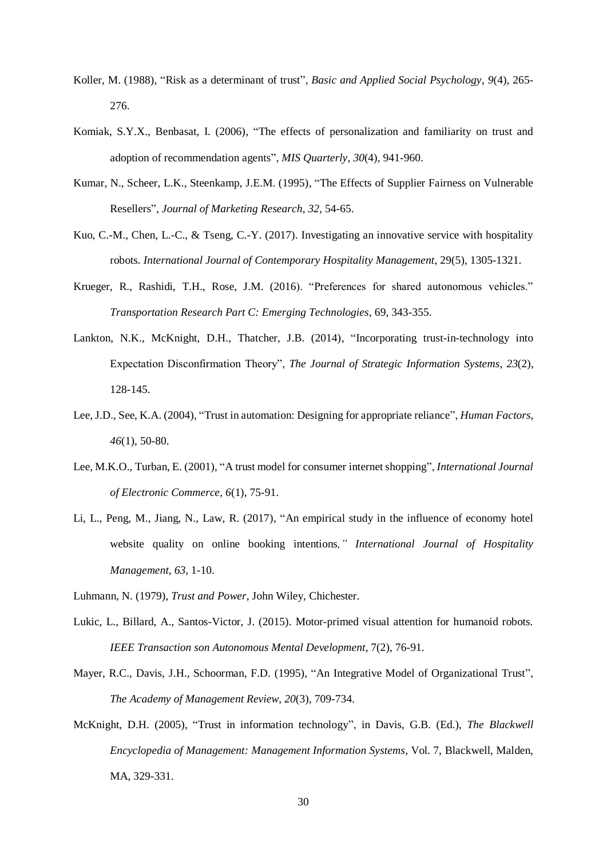- Koller, M. (1988), "Risk as a determinant of trust", *Basic and Applied Social Psychology*, *9*(4), 265- 276.
- Komiak, S.Y.X., Benbasat, I. (2006), "The effects of personalization and familiarity on trust and adoption of recommendation agents", *MIS Quarterly*, *30*(4), 941-960.
- Kumar, N., Scheer, L.K., Steenkamp, J.E.M. (1995), "The Effects of Supplier Fairness on Vulnerable Resellers", *Journal of Marketing Research*, *32*, 54-65.
- Kuo, C.-M., Chen, L.-C., & Tseng, C.-Y. (2017). Investigating an innovative service with hospitality robots*. International Journal of Contemporary Hospitality Management*, 29(5), 1305-1321.
- Krueger, R., Rashidi, T.H., Rose, J.M. (2016). "Preferences for shared autonomous vehicles." *Transportation Research Part C: Emerging Technologies*, 69, 343-355.
- Lankton, N.K., McKnight, D.H., Thatcher, J.B. (2014), "Incorporating trust-in-technology into Expectation Disconfirmation Theory", *The Journal of Strategic Information Systems*, *23*(2), 128-145.
- Lee, J.D., See, K.A. (2004), "Trust in automation: Designing for appropriate reliance", *Human Factors*, *46*(1), 50-80.
- Lee, M.K.O., Turban, E. (2001), "A trust model for consumer internet shopping", *International Journal of Electronic Commerce, 6*(1), 75-91.
- Li, L., Peng, M., Jiang, N., Law, R. (2017), "An empirical study in the influence of economy hotel website quality on online booking intentions*," International Journal of Hospitality Management*, *63*, 1-10.
- Luhmann, N. (1979), *Trust and Power*, John Wiley, Chichester.
- Lukic, L., Billard, A., Santos-Victor, J. (2015). Motor-primed visual attention for humanoid robots. *IEEE Transaction son Autonomous Mental Development*, 7(2), 76-91.
- Mayer, R.C., Davis, J.H., Schoorman, F.D. (1995), "An Integrative Model of Organizational Trust", *The Academy of Management Review*, *20*(3), 709-734.
- McKnight, D.H. (2005), "Trust in information technology", in Davis, G.B. (Ed.), *The Blackwell Encyclopedia of Management: Management Information Systems*, Vol. 7, Blackwell, Malden, MA, 329-331.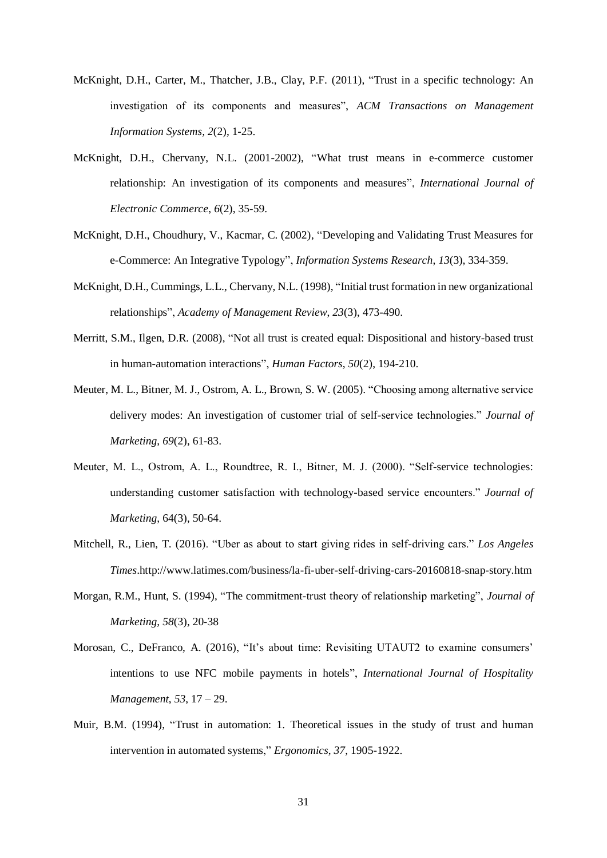- McKnight, D.H., Carter, M., Thatcher, J.B., Clay, P.F. (2011), "Trust in a specific technology: An investigation of its components and measures", *ACM Transactions on Management Information Systems, 2*(2), 1-25.
- McKnight, D.H., Chervany, N.L. (2001-2002), "What trust means in e-commerce customer relationship: An investigation of its components and measures", *International Journal of Electronic Commerce*, *6*(2), 35-59.
- McKnight, D.H., Choudhury, V., Kacmar, C. (2002), "Developing and Validating Trust Measures for e-Commerce: An Integrative Typology", *Information Systems Research*, *13*(3), 334-359.
- McKnight, D.H., Cummings, L.L., Chervany, N.L. (1998), "Initial trust formation in new organizational relationships", *Academy of Management Review*, *23*(3), 473-490.
- Merritt, S.M., Ilgen, D.R. (2008), "Not all trust is created equal: Dispositional and history-based trust in human-automation interactions", *Human Factors*, *50*(2), 194-210.
- Meuter, M. L., Bitner, M. J., Ostrom, A. L., Brown, S. W. (2005). "Choosing among alternative service delivery modes: An investigation of customer trial of self-service technologies." *Journal of Marketing*, *69*(2), 61-83.
- Meuter, M. L., Ostrom, A. L., Roundtree, R. I., Bitner, M. J. (2000). "Self-service technologies: understanding customer satisfaction with technology-based service encounters." *Journal of Marketing*, 64(3), 50-64.
- Mitchell, R., Lien, T. (2016). "Uber as about to start giving rides in self-driving cars." *Los Angeles Times*.http://www.latimes.com/business/la-fi-uber-self-driving-cars-20160818-snap-story.htm
- Morgan, R.M., Hunt, S. (1994), "The commitment-trust theory of relationship marketing", *Journal of Marketing*, *58*(3), 20-38
- Morosan, C., DeFranco, A. (2016), "It's about time: Revisiting UTAUT2 to examine consumers' intentions to use NFC mobile payments in hotels", *International Journal of Hospitality Management*, *53*, 17 – 29.
- Muir, B.M. (1994), "Trust in automation: 1. Theoretical issues in the study of trust and human intervention in automated systems," *Ergonomics*, *37*, 1905-1922.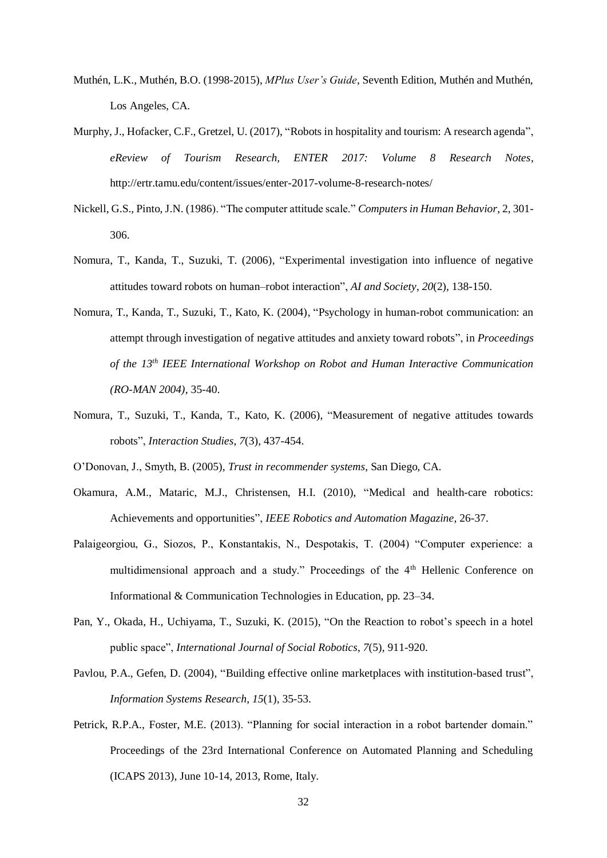- Muthén, L.K., Muthén, B.O. (1998-2015), *MPlus User's Guide*, Seventh Edition, Muthén and Muthén, Los Angeles, CA.
- Murphy, J., Hofacker, C.F., Gretzel, U. (2017), "Robots in hospitality and tourism: A research agenda", *eReview of Tourism Research, ENTER 2017: Volume 8 Research Notes*, http://ertr.tamu.edu/content/issues/enter-2017-volume-8-research-notes/
- Nickell, G.S., Pinto, J.N. (1986). "The computer attitude scale." *Computers in Human Behavior*, 2, 301- 306.
- Nomura, T., Kanda, T., Suzuki, T. (2006), "Experimental investigation into influence of negative attitudes toward robots on human–robot interaction", *AI and Society*, *20*(2), 138-150.
- Nomura, T., Kanda, T., Suzuki, T., Kato, K. (2004), "Psychology in human-robot communication: an attempt through investigation of negative attitudes and anxiety toward robots", in *Proceedings of the 13th IEEE International Workshop on Robot and Human Interactive Communication (RO-MAN 2004)*, 35-40.
- Nomura, T., Suzuki, T., Kanda, T., Kato, K. (2006), "Measurement of negative attitudes towards robots", *Interaction Studies*, *7*(3), 437-454.
- O'Donovan, J., Smyth, B. (2005), *Trust in recommender systems*, San Diego, CA.
- Okamura, A.M., Mataric, M.J., Christensen, H.I. (2010), "Medical and health-care robotics: Achievements and opportunities", *IEEE Robotics and Automation Magazine*, 26-37.
- Palaigeorgiou, G., Siozos, P., Konstantakis, N., Despotakis, T. (2004) "Computer experience: a multidimensional approach and a study." Proceedings of the 4th Hellenic Conference on Informational & Communication Technologies in Education, pp. 23–34.
- Pan, Y., Okada, H., Uchiyama, T., Suzuki, K. (2015), "On the Reaction to robot's speech in a hotel public space", *International Journal of Social Robotics*, *7*(5), 911-920.
- Pavlou, P.A., Gefen, D. (2004), "Building effective online marketplaces with institution-based trust", *Information Systems Research*, *15*(1), 35-53.
- Petrick, R.P.A., Foster, M.E. (2013). "Planning for social interaction in a robot bartender domain." Proceedings of the 23rd International Conference on Automated Planning and Scheduling (ICAPS 2013), June 10-14, 2013, Rome, Italy.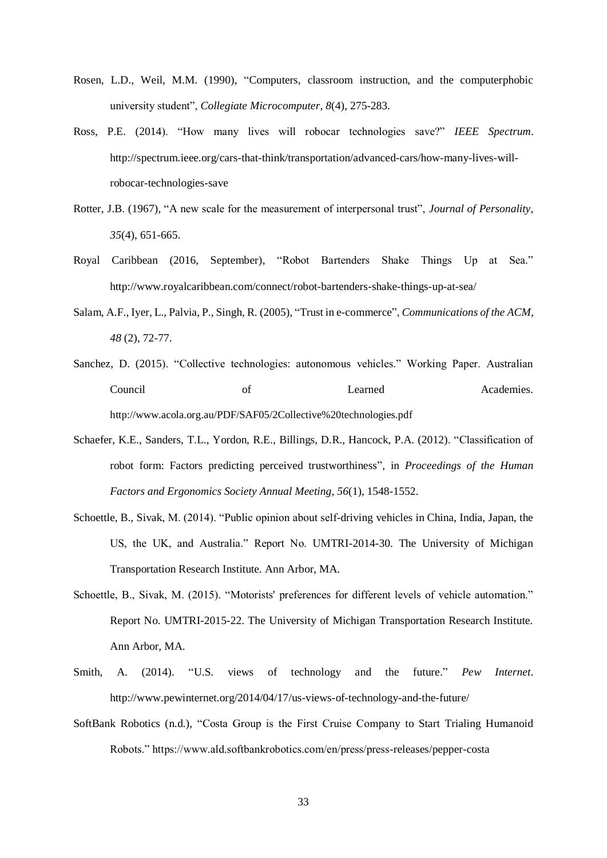- Rosen, L.D., Weil, M.M. (1990), "Computers, classroom instruction, and the computerphobic university student", *Collegiate Microcomputer, 8*(4), 275-283.
- Ross, P.E. (2014). "How many lives will robocar technologies save?" *IEEE Spectrum*. http://spectrum.ieee.org/cars-that-think/transportation/advanced-cars/how-many-lives-willrobocar-technologies-save
- Rotter, J.B. (1967), "A new scale for the measurement of interpersonal trust", *Journal of Personality*, *35*(4), 651-665.
- Royal Caribbean (2016, September), "Robot Bartenders Shake Things Up at Sea." http://www.royalcaribbean.com/connect/robot-bartenders-shake-things-up-at-sea/
- Salam, A.F., Iyer, L., Palvia, P., Singh, R. (2005), "Trust in e-commerce", *Communications of the ACM*, *48* (2), 72-77.
- Sanchez, D. (2015). "Collective technologies: autonomous vehicles." Working Paper. Australian Council of Learned Academies. http://www.acola.org.au/PDF/SAF05/2Collective%20technologies.pdf
- Schaefer, K.E., Sanders, T.L., Yordon, R.E., Billings, D.R., Hancock, P.A. (2012). "Classification of robot form: Factors predicting perceived trustworthiness", in *Proceedings of the Human Factors and Ergonomics Society Annual Meeting*, *56*(1), 1548-1552.
- Schoettle, B., Sivak, M. (2014). "Public opinion about self-driving vehicles in China, India, Japan, the US, the UK, and Australia." Report No. UMTRI-2014-30. The University of Michigan Transportation Research Institute. Ann Arbor, MA.
- Schoettle, B., Sivak, M. (2015). "Motorists' preferences for different levels of vehicle automation." Report No. UMTRI-2015-22. The University of Michigan Transportation Research Institute. Ann Arbor, MA.
- Smith, A. (2014). "U.S. views of technology and the future." *Pew Internet*. http://www.pewinternet.org/2014/04/17/us-views-of-technology-and-the-future/
- SoftBank Robotics (n.d.), "Costa Group is the First Cruise Company to Start Trialing Humanoid Robots." https://www.ald.softbankrobotics.com/en/press/press-releases/pepper-costa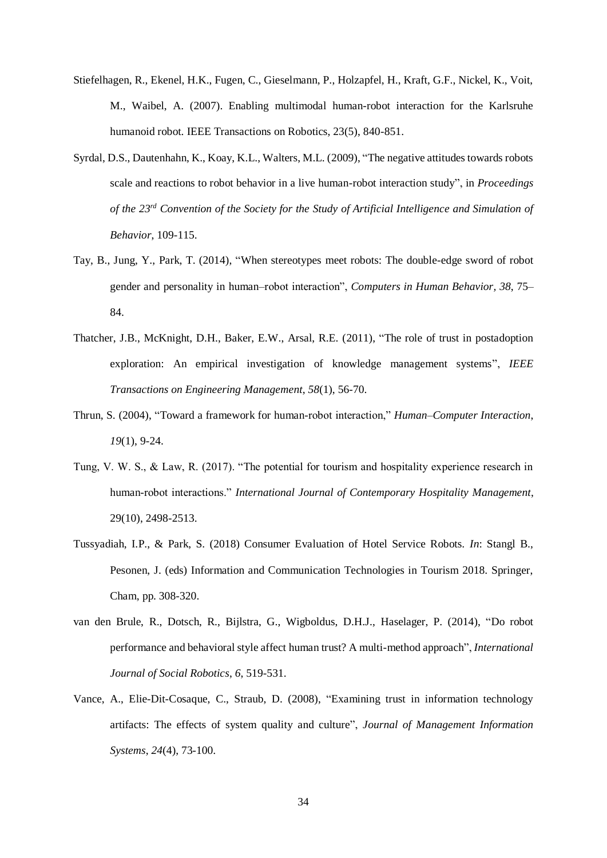- Stiefelhagen, R., Ekenel, H.K., Fugen, C., Gieselmann, P., Holzapfel, H., Kraft, G.F., Nickel, K., Voit, M., Waibel, A. (2007). Enabling multimodal human-robot interaction for the Karlsruhe humanoid robot. IEEE Transactions on Robotics, 23(5), 840-851.
- Syrdal, D.S., Dautenhahn, K., Koay, K.L., Walters, M.L. (2009), "The negative attitudes towards robots scale and reactions to robot behavior in a live human-robot interaction study", in *Proceedings of the 23rd Convention of the Society for the Study of Artificial Intelligence and Simulation of Behavior*, 109-115.
- Tay, B., Jung, Y., Park, T. (2014), "When stereotypes meet robots: The double-edge sword of robot gender and personality in human–robot interaction", *Computers in Human Behavior, 38*, 75– 84.
- Thatcher, J.B., McKnight, D.H., Baker, E.W., Arsal, R.E. (2011), "The role of trust in postadoption exploration: An empirical investigation of knowledge management systems", *IEEE Transactions on Engineering Management*, *58*(1), 56-70.
- Thrun, S. (2004), "Toward a framework for human-robot interaction," *Human–Computer Interaction*, *19*(1), 9-24.
- Tung, V. W. S., & Law, R. (2017). "The potential for tourism and hospitality experience research in human-robot interactions." *International Journal of Contemporary Hospitality Management*, 29(10), 2498-2513.
- Tussyadiah, I.P., & Park, S. (2018) Consumer Evaluation of Hotel Service Robots. *In*: Stangl B., Pesonen, J. (eds) Information and Communication Technologies in Tourism 2018. Springer, Cham, pp. 308-320.
- van den Brule, R., Dotsch, R., Bijlstra, G., Wigboldus, D.H.J., Haselager, P. (2014), "Do robot performance and behavioral style affect human trust? A multi-method approach", *International Journal of Social Robotics*, *6*, 519-531.
- Vance, A., Elie-Dit-Cosaque, C., Straub, D. (2008), "Examining trust in information technology artifacts: The effects of system quality and culture", *Journal of Management Information Systems*, *24*(4), 73-100.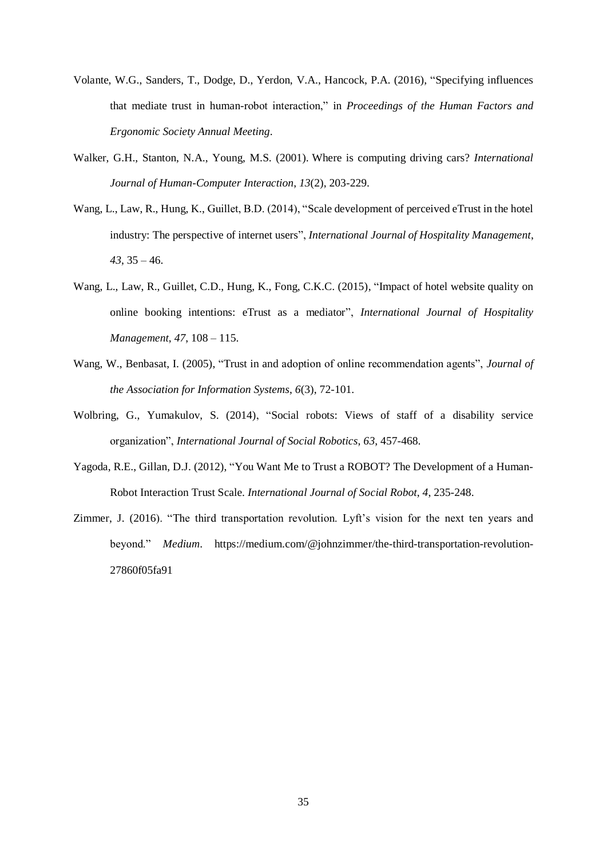- Volante, W.G., Sanders, T., Dodge, D., Yerdon, V.A., Hancock, P.A. (2016), "Specifying influences that mediate trust in human-robot interaction," in *Proceedings of the Human Factors and Ergonomic Society Annual Meeting*.
- Walker, G.H., Stanton, N.A., Young, M.S. (2001). Where is computing driving cars? *International Journal of Human-Computer Interaction*, *13*(2), 203-229.
- Wang, L., Law, R., Hung, K., Guillet, B.D. (2014), "Scale development of perceived eTrust in the hotel industry: The perspective of internet users", *International Journal of Hospitality Management*, *43*, 35 – 46.
- Wang, L., Law, R., Guillet, C.D., Hung, K., Fong, C.K.C. (2015), "Impact of hotel website quality on online booking intentions: eTrust as a mediator", *International Journal of Hospitality Management*, *47*, 108 – 115.
- Wang, W., Benbasat, I. (2005), "Trust in and adoption of online recommendation agents", *Journal of the Association for Information Systems*, *6*(3), 72-101.
- Wolbring, G., Yumakulov, S. (2014), "Social robots: Views of staff of a disability service organization", *International Journal of Social Robotics*, *63*, 457-468.
- Yagoda, R.E., Gillan, D.J. (2012), "You Want Me to Trust a ROBOT? The Development of a Human-Robot Interaction Trust Scale. *International Journal of Social Robot*, *4*, 235-248.
- Zimmer, J. (2016). "The third transportation revolution. Lyft's vision for the next ten years and beyond." *Medium*. https://medium.com/@johnzimmer/the-third-transportation-revolution-27860f05fa91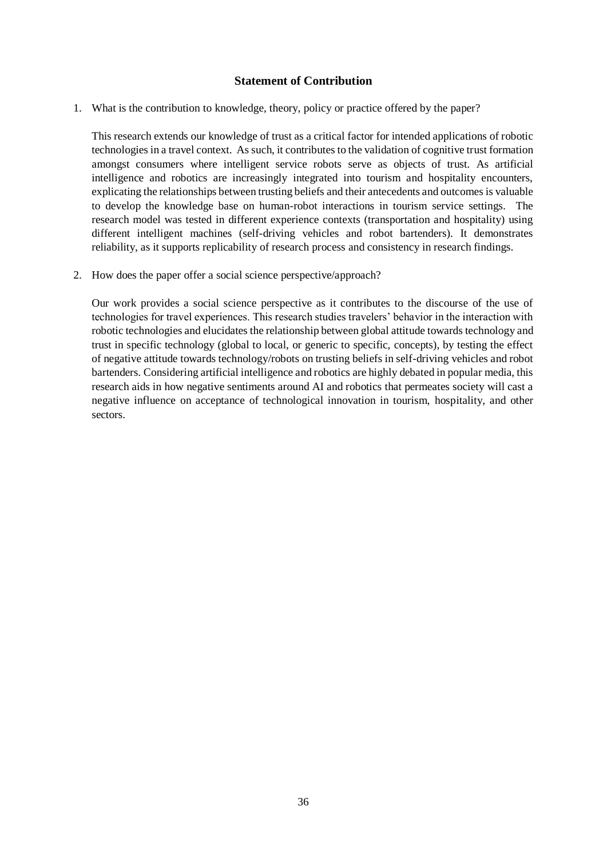# **Statement of Contribution**

1. What is the contribution to knowledge, theory, policy or practice offered by the paper?

This research extends our knowledge of trust as a critical factor for intended applications of robotic technologies in a travel context. As such, it contributes to the validation of cognitive trust formation amongst consumers where intelligent service robots serve as objects of trust. As artificial intelligence and robotics are increasingly integrated into tourism and hospitality encounters, explicating the relationships between trusting beliefs and their antecedents and outcomes is valuable to develop the knowledge base on human-robot interactions in tourism service settings. The research model was tested in different experience contexts (transportation and hospitality) using different intelligent machines (self-driving vehicles and robot bartenders). It demonstrates reliability, as it supports replicability of research process and consistency in research findings.

2. How does the paper offer a social science perspective/approach?

Our work provides a social science perspective as it contributes to the discourse of the use of technologies for travel experiences. This research studies travelers' behavior in the interaction with robotic technologies and elucidates the relationship between global attitude towards technology and trust in specific technology (global to local, or generic to specific, concepts), by testing the effect of negative attitude towards technology/robots on trusting beliefs in self-driving vehicles and robot bartenders. Considering artificial intelligence and robotics are highly debated in popular media, this research aids in how negative sentiments around AI and robotics that permeates society will cast a negative influence on acceptance of technological innovation in tourism, hospitality, and other sectors.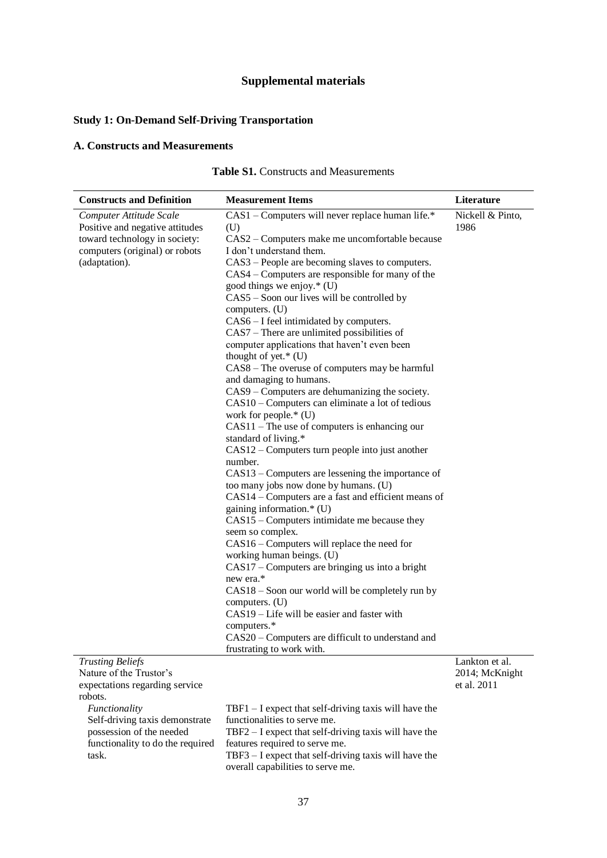# **Supplemental materials**

# **Study 1: On-Demand Self-Driving Transportation**

# **A. Constructs and Measurements**

| Table S1. Constructs and Measurements |
|---------------------------------------|
|---------------------------------------|

| <b>Constructs and Definition</b>                                                                                                                                          | <b>Measurement Items</b>                                                                                                                                                                                                                                                                                                                                                                                                                                                                                                                                                                                                                                                                                                                                                                                                                                                                                                                                                                                                                                                                                                                                                                                                                                                                                                                                                                                                                                                                       | Literature                                 |
|---------------------------------------------------------------------------------------------------------------------------------------------------------------------------|------------------------------------------------------------------------------------------------------------------------------------------------------------------------------------------------------------------------------------------------------------------------------------------------------------------------------------------------------------------------------------------------------------------------------------------------------------------------------------------------------------------------------------------------------------------------------------------------------------------------------------------------------------------------------------------------------------------------------------------------------------------------------------------------------------------------------------------------------------------------------------------------------------------------------------------------------------------------------------------------------------------------------------------------------------------------------------------------------------------------------------------------------------------------------------------------------------------------------------------------------------------------------------------------------------------------------------------------------------------------------------------------------------------------------------------------------------------------------------------------|--------------------------------------------|
| Computer Attitude Scale<br>Positive and negative attitudes<br>toward technology in society:<br>computers (original) or robots<br>(adaptation).<br><b>Trusting Beliefs</b> | CAS1 - Computers will never replace human life.*<br>(U)<br>CAS2 - Computers make me uncomfortable because<br>I don't understand them.<br>CAS3 – People are becoming slaves to computers.<br>CAS4 – Computers are responsible for many of the<br>good things we enjoy.* (U)<br>CAS5 – Soon our lives will be controlled by<br>computers. (U)<br>CAS6 - I feel intimidated by computers.<br>CAS7 - There are unlimited possibilities of<br>computer applications that haven't even been<br>thought of yet. $*(U)$<br>CAS8 - The overuse of computers may be harmful<br>and damaging to humans.<br>CAS9 – Computers are dehumanizing the society.<br>CAS10 – Computers can eliminate a lot of tedious<br>work for people.* (U)<br>$CAS11$ – The use of computers is enhancing our<br>standard of living.*<br>$CAS12 - Computers$ turn people into just another<br>number.<br>CAS13 – Computers are lessening the importance of<br>too many jobs now done by humans. (U)<br>CAS14 – Computers are a fast and efficient means of<br>gaining information.* (U)<br>CAS15 – Computers intimidate me because they<br>seem so complex.<br>CAS16 – Computers will replace the need for<br>working human beings. (U)<br>CAS17 – Computers are bringing us into a bright<br>new era.*<br>CAS18 – Soon our world will be completely run by<br>computers. (U)<br>CAS19 – Life will be easier and faster with<br>computers.*<br>CAS20 – Computers are difficult to understand and<br>frustrating to work with. | Nickell & Pinto,<br>1986<br>Lankton et al. |
| Nature of the Trustor's<br>expectations regarding service                                                                                                                 |                                                                                                                                                                                                                                                                                                                                                                                                                                                                                                                                                                                                                                                                                                                                                                                                                                                                                                                                                                                                                                                                                                                                                                                                                                                                                                                                                                                                                                                                                                | 2014; McKnight<br>et al. 2011              |
| robots.                                                                                                                                                                   |                                                                                                                                                                                                                                                                                                                                                                                                                                                                                                                                                                                                                                                                                                                                                                                                                                                                                                                                                                                                                                                                                                                                                                                                                                                                                                                                                                                                                                                                                                |                                            |
| Functionality                                                                                                                                                             | $TBF1 - I$ expect that self-driving taxis will have the                                                                                                                                                                                                                                                                                                                                                                                                                                                                                                                                                                                                                                                                                                                                                                                                                                                                                                                                                                                                                                                                                                                                                                                                                                                                                                                                                                                                                                        |                                            |
| Self-driving taxis demonstrate                                                                                                                                            | functionalities to serve me.                                                                                                                                                                                                                                                                                                                                                                                                                                                                                                                                                                                                                                                                                                                                                                                                                                                                                                                                                                                                                                                                                                                                                                                                                                                                                                                                                                                                                                                                   |                                            |
| possession of the needed                                                                                                                                                  | $TBF2 - I$ expect that self-driving taxis will have the                                                                                                                                                                                                                                                                                                                                                                                                                                                                                                                                                                                                                                                                                                                                                                                                                                                                                                                                                                                                                                                                                                                                                                                                                                                                                                                                                                                                                                        |                                            |
| functionality to do the required                                                                                                                                          | features required to serve me.                                                                                                                                                                                                                                                                                                                                                                                                                                                                                                                                                                                                                                                                                                                                                                                                                                                                                                                                                                                                                                                                                                                                                                                                                                                                                                                                                                                                                                                                 |                                            |
| task.                                                                                                                                                                     | $TBF3 - I$ expect that self-driving taxis will have the                                                                                                                                                                                                                                                                                                                                                                                                                                                                                                                                                                                                                                                                                                                                                                                                                                                                                                                                                                                                                                                                                                                                                                                                                                                                                                                                                                                                                                        |                                            |

overall capabilities to serve me.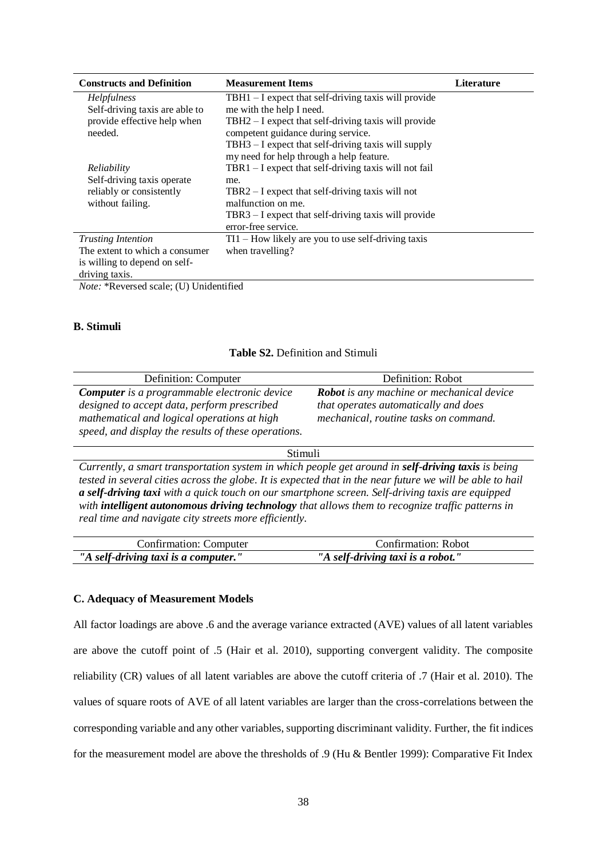| <b>Constructs and Definition</b> | <b>Measurement Items</b>                                | <b>Literature</b> |
|----------------------------------|---------------------------------------------------------|-------------------|
| <i>Helpfulness</i>               | $TBH1 - I$ expect that self-driving taxis will provide  |                   |
| Self-driving taxis are able to   | me with the help I need.                                |                   |
| provide effective help when      | TBH2 – I expect that self-driving taxis will provide    |                   |
| needed.                          | competent guidance during service.                      |                   |
|                                  | TBH3 – I expect that self-driving taxis will supply     |                   |
|                                  | my need for help through a help feature.                |                   |
| Reliability                      | TBR1 $-$ I expect that self-driving taxis will not fail |                   |
| Self-driving taxis operate       | me.                                                     |                   |
| reliably or consistently         | TBR2 $-$ I expect that self-driving taxis will not      |                   |
| without failing.                 | malfunction on me.                                      |                   |
|                                  | TBR3 – I expect that self-driving taxis will provide    |                   |
|                                  | error-free service.                                     |                   |
| <b>Trusting Intention</b>        | TI1 – How likely are you to use self-driving taxis      |                   |
| The extent to which a consumer   | when travelling?                                        |                   |
| is willing to depend on self-    |                                                         |                   |
| driving taxis.                   |                                                         |                   |

*Note:* \*Reversed scale; (U) Unidentified

#### **B. Stimuli**

| Table S2. Definition and Stimuli |  |  |  |
|----------------------------------|--|--|--|
|----------------------------------|--|--|--|

| Definition: Computer                                | Definition: Robot                                |
|-----------------------------------------------------|--------------------------------------------------|
| <b>Computer</b> is a programmable electronic device | <b>Robot</b> is any machine or mechanical device |
| designed to accept data, perform prescribed         | that operates automatically and does             |
| mathematical and logical operations at high         | mechanical, routine tasks on command.            |
| speed, and display the results of these operations. |                                                  |

#### Stimuli

*Currently, a smart transportation system in which people get around in self-driving taxis is being tested in several cities across the globe. It is expected that in the near future we will be able to hail a self-driving taxi with a quick touch on our smartphone screen. Self-driving taxis are equipped with intelligent autonomous driving technology that allows them to recognize traffic patterns in real time and navigate city streets more efficiently.*

| Confirmation: Computer               | Confirmation: Robot               |
|--------------------------------------|-----------------------------------|
| "A self-driving taxi is a computer." | "A self-driving taxi is a robot." |

#### **C. Adequacy of Measurement Models**

All factor loadings are above .6 and the average variance extracted (AVE) values of all latent variables are above the cutoff point of .5 (Hair et al. 2010), supporting convergent validity. The composite reliability (CR) values of all latent variables are above the cutoff criteria of .7 (Hair et al. 2010). The values of square roots of AVE of all latent variables are larger than the cross-correlations between the corresponding variable and any other variables, supporting discriminant validity. Further, the fit indices for the measurement model are above the thresholds of .9 (Hu & Bentler 1999): Comparative Fit Index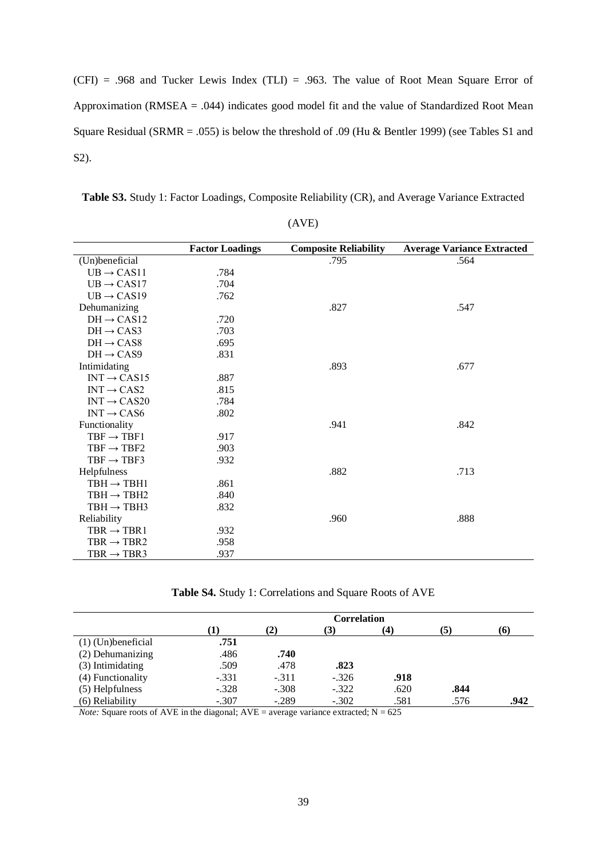$(CFI)$  = .968 and Tucker Lewis Index (TLI) = .963. The value of Root Mean Square Error of Approximation (RMSEA  $=$  .044) indicates good model fit and the value of Standardized Root Mean Square Residual (SRMR = .055) is below the threshold of .09 (Hu & Bentler 1999) (see Tables S1 and S2).

**Table S3.** Study 1: Factor Loadings, Composite Reliability (CR), and Average Variance Extracted

|                         | <b>Factor Loadings</b> | <b>Composite Reliability</b> | <b>Average Variance Extracted</b> |
|-------------------------|------------------------|------------------------------|-----------------------------------|
| (Un)beneficial          |                        | .795                         | .564                              |
| $UB \rightarrow CAS11$  | .784                   |                              |                                   |
| $UB \rightarrow CAS17$  | .704                   |                              |                                   |
| $UB \rightarrow CAS19$  | .762                   |                              |                                   |
| Dehumanizing            |                        | .827                         | .547                              |
| $DH \rightarrow CAS12$  | .720                   |                              |                                   |
| $DH \rightarrow CAS3$   | .703                   |                              |                                   |
| $DH \rightarrow CAS8$   | .695                   |                              |                                   |
| $DH \rightarrow CAS9$   | .831                   |                              |                                   |
| Intimidating            |                        | .893                         | .677                              |
| $INT \rightarrow CAS15$ | .887                   |                              |                                   |
| $INT \rightarrow CAS2$  | .815                   |                              |                                   |
| $INT \rightarrow CAS20$ | .784                   |                              |                                   |
| $INT \rightarrow CAS6$  | .802                   |                              |                                   |
| Functionality           |                        | .941                         | .842                              |
| $TBF \rightarrow TBF1$  | .917                   |                              |                                   |
| $TBF \rightarrow TBF2$  | .903                   |                              |                                   |
| $TBF \rightarrow TBF3$  | .932                   |                              |                                   |
| Helpfulness             |                        | .882                         | .713                              |
| $TBH \rightarrow TBH1$  | .861                   |                              |                                   |
| $TBH \rightarrow TBH2$  | .840                   |                              |                                   |
| $TBH \rightarrow TBH3$  | .832                   |                              |                                   |
| Reliability             |                        | .960                         | .888                              |
| $TBR \rightarrow TBR1$  | .932                   |                              |                                   |
| $TBR \rightarrow TBR2$  | .958                   |                              |                                   |
| $TBR \rightarrow TBR3$  | .937                   |                              |                                   |

(AVE)

**Table S4.** Study 1: Correlations and Square Roots of AVE

|                      | <b>Correlation</b> |           |         |      |      |      |
|----------------------|--------------------|-----------|---------|------|------|------|
|                      | T                  | $\bf (2)$ | (3)     | (4)  | (5)  | (6)  |
| $(1)$ (Un)beneficial | .751               |           |         |      |      |      |
| (2) Dehumanizing     | .486               | .740      |         |      |      |      |
| (3) Intimidating     | .509               | .478      | .823    |      |      |      |
| (4) Functionality    | $-.331$            | $-.311$   | $-.326$ | .918 |      |      |
| (5) Helpfulness      | $-.328$            | $-.308$   | $-.322$ | .620 | .844 |      |
| (6) Reliability      | $-.307$            | $-.289$   | $-.302$ | .581 | .576 | .942 |

*Note:* Square roots of AVE in the diagonal;  $AVE =$  average variance extracted;  $N = 625$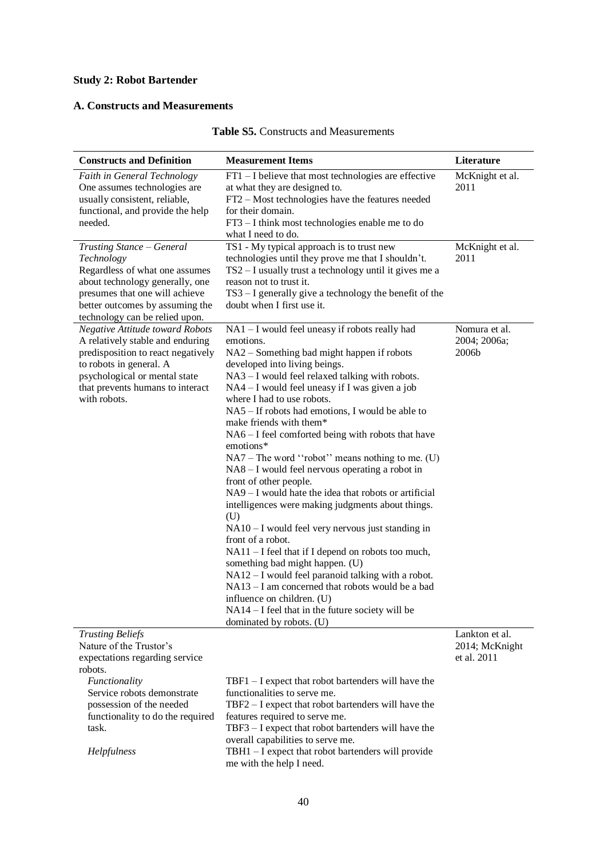# **Study 2: Robot Bartender**

# **A. Constructs and Measurements**

| <b>Constructs and Definition</b>                                                                                                                                                                                                 | <b>Measurement Items</b>                                                                                                                                                                                                                                                                                                                                                                                                                                                                                                                                                                                                                                                                                                                                                                                                                                                                                                                                                                                                                                                                  | Literature                                      |
|----------------------------------------------------------------------------------------------------------------------------------------------------------------------------------------------------------------------------------|-------------------------------------------------------------------------------------------------------------------------------------------------------------------------------------------------------------------------------------------------------------------------------------------------------------------------------------------------------------------------------------------------------------------------------------------------------------------------------------------------------------------------------------------------------------------------------------------------------------------------------------------------------------------------------------------------------------------------------------------------------------------------------------------------------------------------------------------------------------------------------------------------------------------------------------------------------------------------------------------------------------------------------------------------------------------------------------------|-------------------------------------------------|
| Faith in General Technology<br>One assumes technologies are<br>usually consistent, reliable,<br>functional, and provide the help<br>needed.                                                                                      | FT1 - I believe that most technologies are effective<br>at what they are designed to.<br>FT2 - Most technologies have the features needed<br>for their domain.<br>FT3 – I think most technologies enable me to do<br>what I need to do.                                                                                                                                                                                                                                                                                                                                                                                                                                                                                                                                                                                                                                                                                                                                                                                                                                                   | McKnight et al.<br>2011                         |
| Trusting Stance - General<br>Technology<br>Regardless of what one assumes<br>about technology generally, one<br>presumes that one will achieve<br>better outcomes by assuming the<br>technology can be relied upon.              | TS1 - My typical approach is to trust new<br>technologies until they prove me that I shouldn't.<br>TS2 - I usually trust a technology until it gives me a<br>reason not to trust it.<br>TS3 - I generally give a technology the benefit of the<br>doubt when I first use it.                                                                                                                                                                                                                                                                                                                                                                                                                                                                                                                                                                                                                                                                                                                                                                                                              | McKnight et al.<br>2011                         |
| <b>Negative Attitude toward Robots</b><br>A relatively stable and enduring<br>predisposition to react negatively<br>to robots in general. A<br>psychological or mental state<br>that prevents humans to interact<br>with robots. | NA1 - I would feel uneasy if robots really had<br>emotions.<br>NA2 - Something bad might happen if robots<br>developed into living beings.<br>NA3 – I would feel relaxed talking with robots.<br>NA4 – I would feel uneasy if I was given a job<br>where I had to use robots.<br>NA5 – If robots had emotions, I would be able to<br>make friends with them*<br>NA6 - I feel comforted being with robots that have<br>emotions*<br>$NA7 - The word 'robot' means nothing to me. (U)$<br>NA8 - I would feel nervous operating a robot in<br>front of other people.<br>NA9 - I would hate the idea that robots or artificial<br>intelligences were making judgments about things.<br>(U)<br>$NA10 - I$ would feel very nervous just standing in<br>front of a robot.<br>$NA11 - I$ feel that if I depend on robots too much,<br>something bad might happen. (U)<br>$NA12 - I$ would feel paranoid talking with a robot.<br>NA13 - I am concerned that robots would be a bad<br>influence on children. (U)<br>$NA14 - I$ feel that in the future society will be<br>dominated by robots. (U) | Nomura et al.<br>2004; 2006a;<br>2006b          |
| <b>Trusting Beliefs</b><br>Nature of the Trustor's<br>expectations regarding service<br>robots.                                                                                                                                  |                                                                                                                                                                                                                                                                                                                                                                                                                                                                                                                                                                                                                                                                                                                                                                                                                                                                                                                                                                                                                                                                                           | Lankton et al.<br>2014; McKnight<br>et al. 2011 |
| Functionality<br>Service robots demonstrate<br>possession of the needed<br>functionality to do the required<br>task.<br>Helpfulness                                                                                              | $TBF1 - I$ expect that robot bartenders will have the<br>functionalities to serve me.<br>TBF2 - I expect that robot bartenders will have the<br>features required to serve me.<br>TBF3 - I expect that robot bartenders will have the<br>overall capabilities to serve me.<br>TBH1 - I expect that robot bartenders will provide                                                                                                                                                                                                                                                                                                                                                                                                                                                                                                                                                                                                                                                                                                                                                          |                                                 |
|                                                                                                                                                                                                                                  | me with the help I need.                                                                                                                                                                                                                                                                                                                                                                                                                                                                                                                                                                                                                                                                                                                                                                                                                                                                                                                                                                                                                                                                  |                                                 |

# **Table S5.** Constructs and Measurements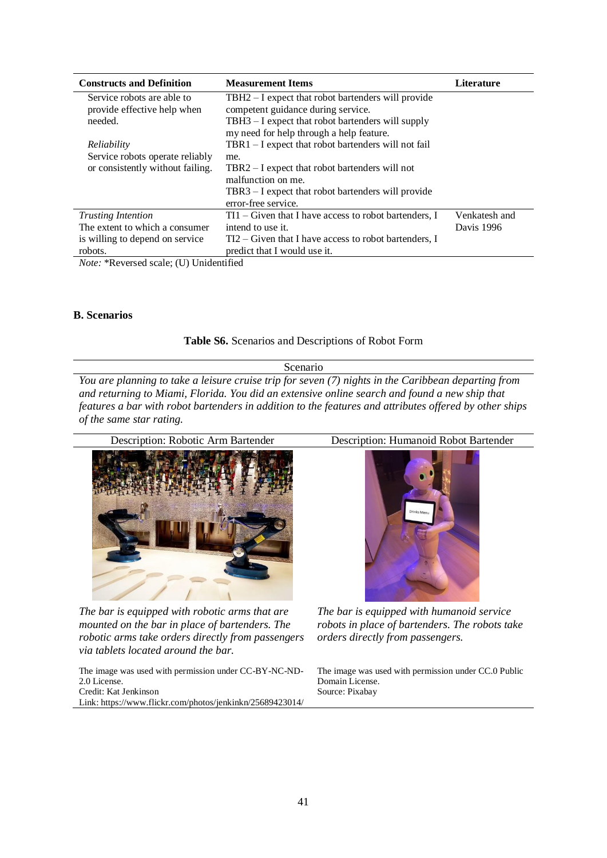| <b>Constructs and Definition</b>                                                                                                                                                                                                                                                                                                   | <b>Measurement Items</b>                               | <b>Literature</b> |
|------------------------------------------------------------------------------------------------------------------------------------------------------------------------------------------------------------------------------------------------------------------------------------------------------------------------------------|--------------------------------------------------------|-------------------|
| Service robots are able to                                                                                                                                                                                                                                                                                                         | TBH2 – I expect that robot bartenders will provide     |                   |
| provide effective help when                                                                                                                                                                                                                                                                                                        | competent guidance during service.                     |                   |
| needed.                                                                                                                                                                                                                                                                                                                            | TBH3 – I expect that robot bartenders will supply      |                   |
|                                                                                                                                                                                                                                                                                                                                    | my need for help through a help feature.               |                   |
| Reliability                                                                                                                                                                                                                                                                                                                        | $TRR1 - I$ expect that robot bartenders will not fail  |                   |
| Service robots operate reliably                                                                                                                                                                                                                                                                                                    | me.                                                    |                   |
| or consistently without failing.                                                                                                                                                                                                                                                                                                   | $TBR2 - I$ expect that robot bartenders will not       |                   |
|                                                                                                                                                                                                                                                                                                                                    | malfunction on me.                                     |                   |
|                                                                                                                                                                                                                                                                                                                                    | TBR3 – I expect that robot bartenders will provide     |                   |
|                                                                                                                                                                                                                                                                                                                                    | error-free service.                                    |                   |
| <b>Trusting Intention</b>                                                                                                                                                                                                                                                                                                          | $TI1 - Given that I have access to robot batteries, I$ | Venkatesh and     |
| The extent to which a consumer                                                                                                                                                                                                                                                                                                     | intend to use it.                                      | Davis 1996        |
| is willing to depend on service                                                                                                                                                                                                                                                                                                    | $TI2 - Given that I have access to robot batteries, I$ |                   |
| robots.                                                                                                                                                                                                                                                                                                                            | predict that I would use it.                           |                   |
| $\mathbf{M}$ $\mathbf{M}$ $\mathbf{M}$ $\mathbf{M}$ $\mathbf{M}$ $\mathbf{M}$ $\mathbf{M}$ $\mathbf{M}$ $\mathbf{M}$ $\mathbf{M}$ $\mathbf{M}$ $\mathbf{M}$ $\mathbf{M}$ $\mathbf{M}$ $\mathbf{M}$ $\mathbf{M}$ $\mathbf{M}$ $\mathbf{M}$ $\mathbf{M}$ $\mathbf{M}$ $\mathbf{M}$ $\mathbf{M}$ $\mathbf{M}$ $\mathbf{M}$ $\mathbf{$ |                                                        |                   |

*Note:* \*Reversed scale; (U) Unidentified

#### **B. Scenarios**

**Table S6.** Scenarios and Descriptions of Robot Form

Scenario

*You are planning to take a leisure cruise trip for seven (7) nights in the Caribbean departing from and returning to Miami, Florida. You did an extensive online search and found a new ship that features a bar with robot bartenders in addition to the features and attributes offered by other ships of the same star rating.*



*The bar is equipped with robotic arms that are mounted on the bar in place of bartenders. The robotic arms take orders directly from passengers via tablets located around the bar.* 

The image was used with permission under CC-BY-NC-ND-2.0 License. Credit: Kat Jenkinson Link: https://www.flickr.com/photos/jenkinkn/25689423014/



*The bar is equipped with humanoid service robots in place of bartenders. The robots take orders directly from passengers.* 

The image was used with permission under CC.0 Public Domain License. Source: Pixabay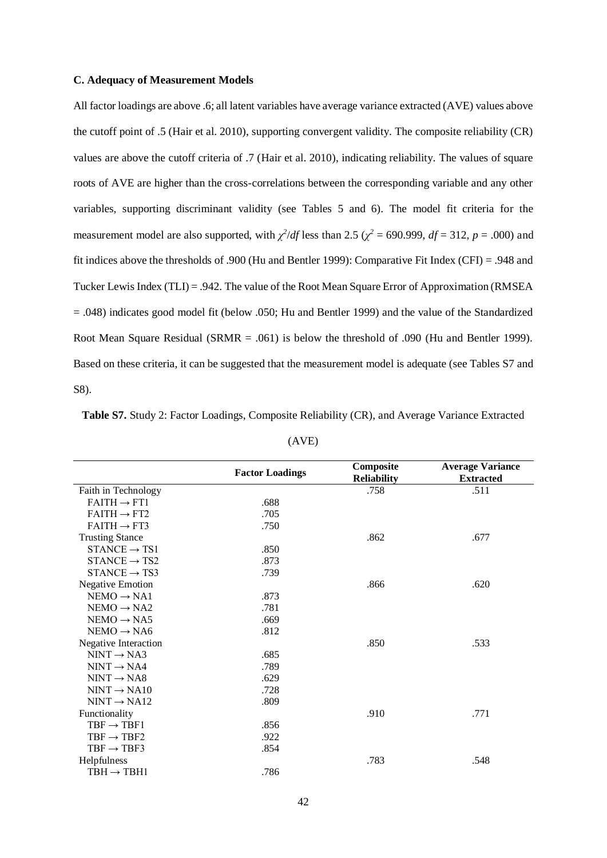#### **C. Adequacy of Measurement Models**

All factor loadings are above .6; all latent variables have average variance extracted (AVE) values above the cutoff point of .5 (Hair et al. 2010), supporting convergent validity. The composite reliability (CR) values are above the cutoff criteria of .7 (Hair et al. 2010), indicating reliability. The values of square roots of AVE are higher than the cross-correlations between the corresponding variable and any other variables, supporting discriminant validity (see Tables 5 and 6). The model fit criteria for the measurement model are also supported, with  $\chi^2/df$  less than 2.5 ( $\chi^2 = 690.999$ ,  $df = 312$ ,  $p = .000$ ) and fit indices above the thresholds of .900 (Hu and Bentler 1999): Comparative Fit Index (CFI) = .948 and Tucker Lewis Index (TLI) = .942. The value of the Root Mean Square Error of Approximation (RMSEA = .048) indicates good model fit (below .050; Hu and Bentler 1999) and the value of the Standardized Root Mean Square Residual (SRMR  $= .061$ ) is below the threshold of .090 (Hu and Bentler 1999). Based on these criteria, it can be suggested that the measurement model is adequate (see Tables S7 and S8).

|                          | <b>Factor Loadings</b> | Composite          | <b>Average Variance</b><br><b>Extracted</b> |  |  |
|--------------------------|------------------------|--------------------|---------------------------------------------|--|--|
|                          |                        | <b>Reliability</b> |                                             |  |  |
| Faith in Technology      |                        | .758               | .511                                        |  |  |
| $FAITH \rightarrow FT1$  | .688                   |                    |                                             |  |  |
| $FAITH \rightarrow FT2$  | .705                   |                    |                                             |  |  |
| $FAITH \rightarrow FT3$  | .750                   |                    |                                             |  |  |
| <b>Trusting Stance</b>   |                        | .862               | .677                                        |  |  |
| $STANCE \rightarrow TS1$ | .850                   |                    |                                             |  |  |
| $STANCE \rightarrow TS2$ | .873                   |                    |                                             |  |  |
| $STANCE \rightarrow TS3$ | .739                   |                    |                                             |  |  |
| <b>Negative Emotion</b>  |                        | .866               | .620                                        |  |  |
| $NEMO \rightarrow NA1$   | .873                   |                    |                                             |  |  |
| $NEMO \rightarrow NA2$   | .781                   |                    |                                             |  |  |
| $NEMO \rightarrow NAS$   | .669                   |                    |                                             |  |  |
| $NEMO \rightarrow NAG$   | .812                   |                    |                                             |  |  |
| Negative Interaction     |                        | .850               | .533                                        |  |  |
| $NINT \rightarrow NA3$   | .685                   |                    |                                             |  |  |
| $NINT \rightarrow NA4$   | .789                   |                    |                                             |  |  |
| $NINT \rightarrow NAS$   | .629                   |                    |                                             |  |  |
| $NINT \rightarrow NA10$  | .728                   |                    |                                             |  |  |
| $NINT \rightarrow NA12$  | .809                   |                    |                                             |  |  |
| Functionality            |                        | .910               | .771                                        |  |  |
| $TBF \rightarrow TBF1$   | .856                   |                    |                                             |  |  |
| $TBF \rightarrow TBF2$   | .922                   |                    |                                             |  |  |
| $TBF \rightarrow TBF3$   | .854                   |                    |                                             |  |  |
| Helpfulness              |                        | .783               | .548                                        |  |  |
| $TBH \rightarrow TBH1$   | .786                   |                    |                                             |  |  |

**Table S7.** Study 2: Factor Loadings, Composite Reliability (CR), and Average Variance Extracted

(AVE)